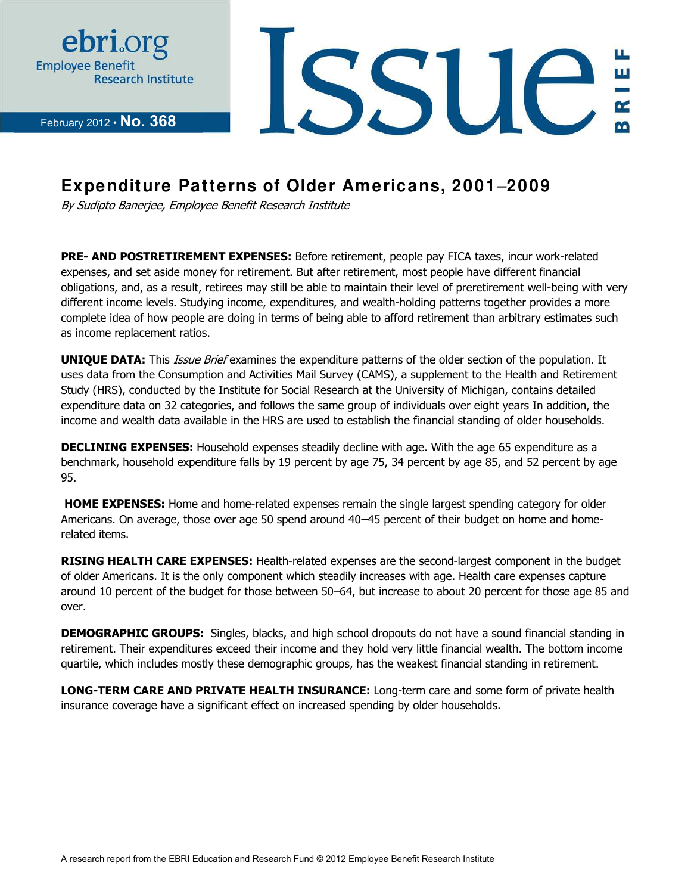

February 2012 **· No. 368** 



### **Expenditure Patterns of Older Americans, 2001**‒**2009**

By Sudipto Banerjee, Employee Benefit Research Institute

**PRE- AND POSTRETIREMENT EXPENSES:** Before retirement, people pay FICA taxes, incur work-related expenses, and set aside money for retirement. But after retirement, most people have different financial obligations, and, as a result, retirees may still be able to maintain their level of preretirement well-being with very different income levels. Studying income, expenditures, and wealth-holding patterns together provides a more complete idea of how people are doing in terms of being able to afford retirement than arbitrary estimates such as income replacement ratios.

**UNIQUE DATA:** This *Issue Brief* examines the expenditure patterns of the older section of the population. It uses data from the Consumption and Activities Mail Survey (CAMS), a supplement to the Health and Retirement Study (HRS), conducted by the Institute for Social Research at the University of Michigan, contains detailed expenditure data on 32 categories, and follows the same group of individuals over eight years In addition, the income and wealth data available in the HRS are used to establish the financial standing of older households.

**DECLINING EXPENSES:** Household expenses steadily decline with age. With the age 65 expenditure as a benchmark, household expenditure falls by 19 percent by age 75, 34 percent by age 85, and 52 percent by age 95.

**HOME EXPENSES:** Home and home-related expenses remain the single largest spending category for older Americans. On average, those over age 50 spend around 40–45 percent of their budget on home and homerelated items.

**RISING HEALTH CARE EXPENSES:** Health-related expenses are the second-largest component in the budget of older Americans. It is the only component which steadily increases with age. Health care expenses capture around 10 percent of the budget for those between 50–64, but increase to about 20 percent for those age 85 and over.

**DEMOGRAPHIC GROUPS:** Singles, blacks, and high school dropouts do not have a sound financial standing in retirement. Their expenditures exceed their income and they hold very little financial wealth. The bottom income quartile, which includes mostly these demographic groups, has the weakest financial standing in retirement.

**LONG-TERM CARE AND PRIVATE HEALTH INSURANCE:** Long-term care and some form of private health insurance coverage have a significant effect on increased spending by older households.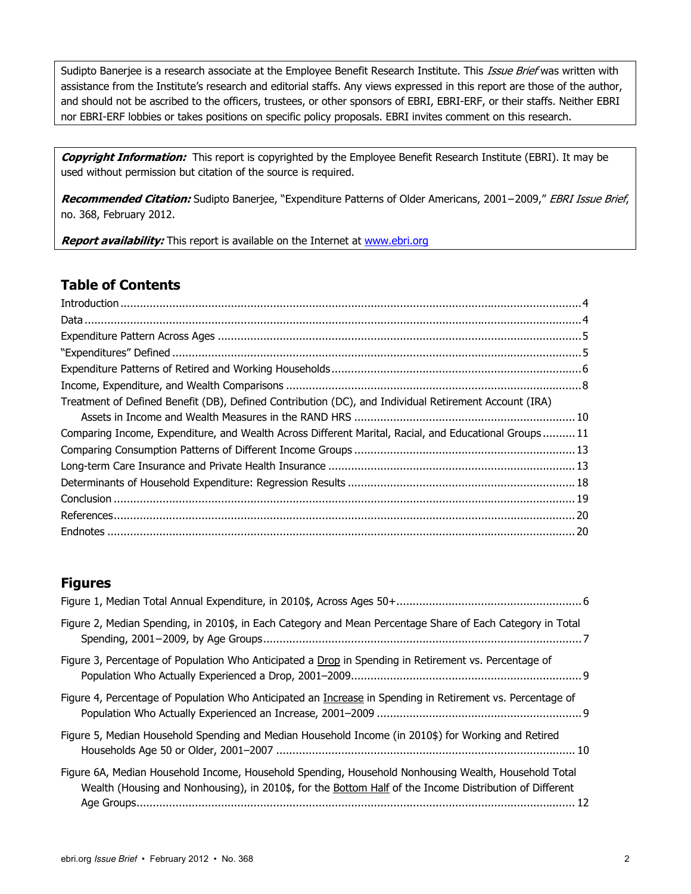Sudipto Banerjee is a research associate at the Employee Benefit Research Institute. This *Issue Brief* was written with assistance from the Institute's research and editorial staffs. Any views expressed in this report are those of the author, and should not be ascribed to the officers, trustees, or other sponsors of EBRI, EBRI-ERF, or their staffs. Neither EBRI nor EBRI-ERF lobbies or takes positions on specific policy proposals. EBRI invites comment on this research.

**Copyright Information:** This report is copyrighted by the Employee Benefit Research Institute (EBRI). It may be used without permission but citation of the source is required.

**Recommended Citation:** Sudipto Banerjee, "Expenditure Patterns of Older Americans, 2001−2009," EBRI Issue Brief, no. 368, February 2012.

Report availability: This report is available on the Internet at www.ebri.org

#### **Table of Contents**

| Treatment of Defined Benefit (DB), Defined Contribution (DC), and Individual Retirement Account (IRA) |  |
|-------------------------------------------------------------------------------------------------------|--|
|                                                                                                       |  |
| Comparing Income, Expenditure, and Wealth Across Different Marital, Racial, and Educational Groups11  |  |
|                                                                                                       |  |
|                                                                                                       |  |
|                                                                                                       |  |
|                                                                                                       |  |
|                                                                                                       |  |
|                                                                                                       |  |

#### **Figures**

| Figure 2, Median Spending, in 2010\$, in Each Category and Mean Percentage Share of Each Category in Total                                                                                                      |  |
|-----------------------------------------------------------------------------------------------------------------------------------------------------------------------------------------------------------------|--|
| Figure 3, Percentage of Population Who Anticipated a Drop in Spending in Retirement vs. Percentage of                                                                                                           |  |
| Figure 4, Percentage of Population Who Anticipated an Increase in Spending in Retirement vs. Percentage of                                                                                                      |  |
| Figure 5, Median Household Spending and Median Household Income (in 2010\$) for Working and Retired                                                                                                             |  |
| Figure 6A, Median Household Income, Household Spending, Household Nonhousing Wealth, Household Total<br>Wealth (Housing and Nonhousing), in 2010\$, for the Bottom Half of the Income Distribution of Different |  |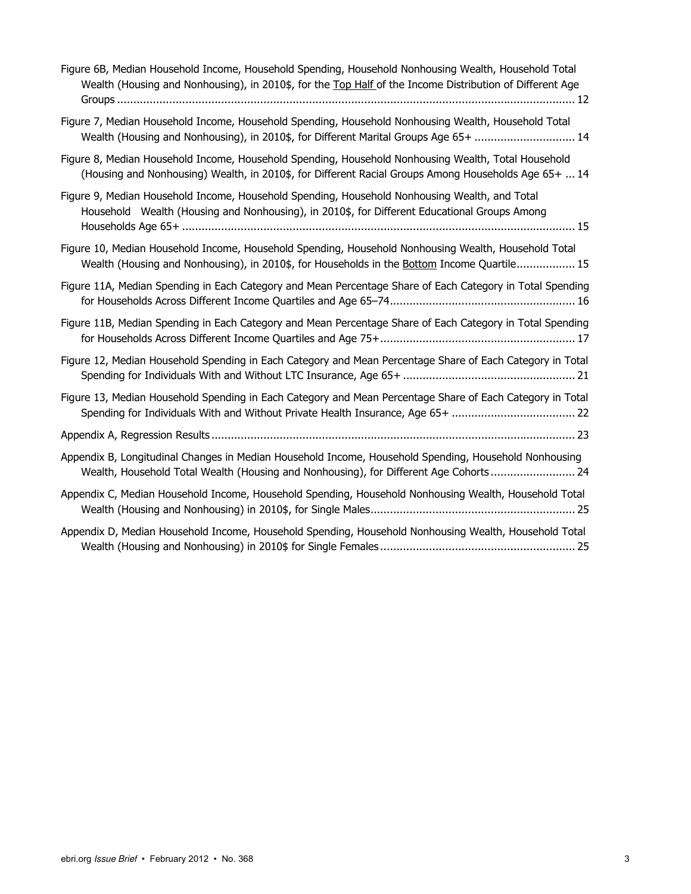| Figure 6B, Median Household Income, Household Spending, Household Nonhousing Wealth, Household Total<br>Wealth (Housing and Nonhousing), in 2010\$, for the Top Half of the Income Distribution of Different Age |
|------------------------------------------------------------------------------------------------------------------------------------------------------------------------------------------------------------------|
| Figure 7, Median Household Income, Household Spending, Household Nonhousing Wealth, Household Total<br>Wealth (Housing and Nonhousing), in 2010\$, for Different Marital Groups Age 65+  14                      |
| Figure 8, Median Household Income, Household Spending, Household Nonhousing Wealth, Total Household<br>(Housing and Nonhousing) Wealth, in 2010\$, for Different Racial Groups Among Households Age 65+  14      |
| Figure 9, Median Household Income, Household Spending, Household Nonhousing Wealth, and Total<br>Household Wealth (Housing and Nonhousing), in 2010\$, for Different Educational Groups Among                    |
| Figure 10, Median Household Income, Household Spending, Household Nonhousing Wealth, Household Total<br>Wealth (Housing and Nonhousing), in 2010\$, for Households in the Bottom Income Quartile 15              |
| Figure 11A, Median Spending in Each Category and Mean Percentage Share of Each Category in Total Spending                                                                                                        |
| Figure 11B, Median Spending in Each Category and Mean Percentage Share of Each Category in Total Spending                                                                                                        |
| Figure 12, Median Household Spending in Each Category and Mean Percentage Share of Each Category in Total                                                                                                        |
| Figure 13, Median Household Spending in Each Category and Mean Percentage Share of Each Category in Total<br>Spending for Individuals With and Without Private Health Insurance, Age 65+  22                     |
|                                                                                                                                                                                                                  |
| Appendix B, Longitudinal Changes in Median Household Income, Household Spending, Household Nonhousing<br>Wealth, Household Total Wealth (Housing and Nonhousing), for Different Age Cohorts 24                   |
| Appendix C, Median Household Income, Household Spending, Household Nonhousing Wealth, Household Total                                                                                                            |
| Appendix D, Median Household Income, Household Spending, Household Nonhousing Wealth, Household Total                                                                                                            |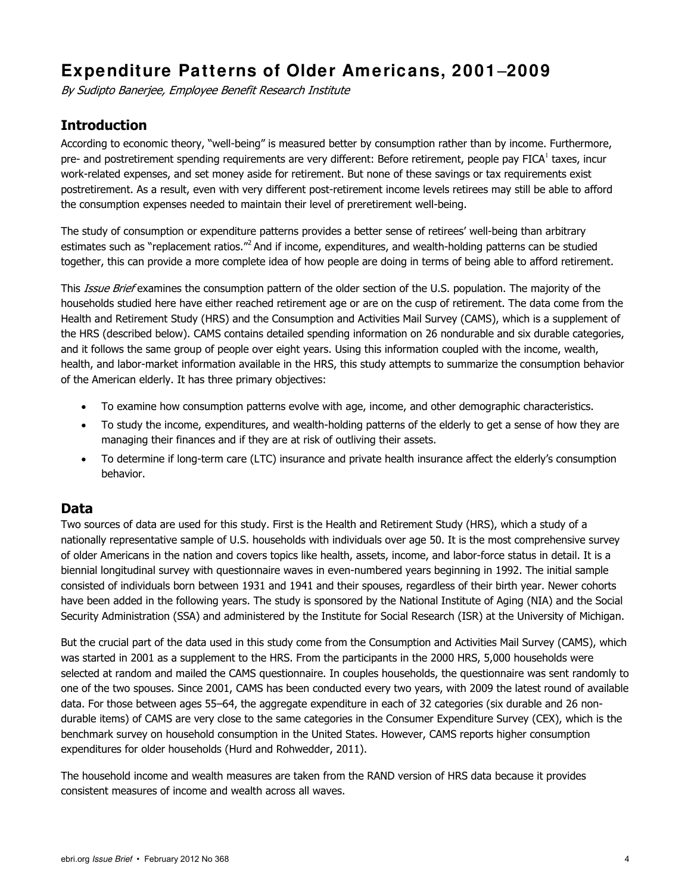# **Expenditure Patterns of Older Americans, 2001**‒**2009**

By Sudipto Banerjee, Employee Benefit Research Institute

#### **Introduction**

According to economic theory, "well-being" is measured better by consumption rather than by income. Furthermore, pre- and postretirement spending requirements are very different: Before retirement, people pay FICA<sup>1</sup> taxes, incur work-related expenses, and set money aside for retirement. But none of these savings or tax requirements exist postretirement. As a result, even with very different post-retirement income levels retirees may still be able to afford the consumption expenses needed to maintain their level of preretirement well-being.

The study of consumption or expenditure patterns provides a better sense of retirees' well-being than arbitrary estimates such as "replacement ratios."<sup>2</sup> And if income, expenditures, and wealth-holding patterns can be studied together, this can provide a more complete idea of how people are doing in terms of being able to afford retirement.

This Issue Brief examines the consumption pattern of the older section of the U.S. population. The majority of the households studied here have either reached retirement age or are on the cusp of retirement. The data come from the Health and Retirement Study (HRS) and the Consumption and Activities Mail Survey (CAMS), which is a supplement of the HRS (described below). CAMS contains detailed spending information on 26 nondurable and six durable categories, and it follows the same group of people over eight years. Using this information coupled with the income, wealth, health, and labor-market information available in the HRS, this study attempts to summarize the consumption behavior of the American elderly. It has three primary objectives:

- To examine how consumption patterns evolve with age, income, and other demographic characteristics.
- To study the income, expenditures, and wealth-holding patterns of the elderly to get a sense of how they are managing their finances and if they are at risk of outliving their assets.
- To determine if long-term care (LTC) insurance and private health insurance affect the elderly's consumption behavior.

#### **Data**

Two sources of data are used for this study. First is the Health and Retirement Study (HRS), which a study of a nationally representative sample of U.S. households with individuals over age 50. It is the most comprehensive survey of older Americans in the nation and covers topics like health, assets, income, and labor-force status in detail. It is a biennial longitudinal survey with questionnaire waves in even-numbered years beginning in 1992. The initial sample consisted of individuals born between 1931 and 1941 and their spouses, regardless of their birth year. Newer cohorts have been added in the following years. The study is sponsored by the National Institute of Aging (NIA) and the Social Security Administration (SSA) and administered by the Institute for Social Research (ISR) at the University of Michigan.

But the crucial part of the data used in this study come from the Consumption and Activities Mail Survey (CAMS), which was started in 2001 as a supplement to the HRS. From the participants in the 2000 HRS, 5,000 households were selected at random and mailed the CAMS questionnaire. In couples households, the questionnaire was sent randomly to one of the two spouses. Since 2001, CAMS has been conducted every two years, with 2009 the latest round of available data. For those between ages 55–64, the aggregate expenditure in each of 32 categories (six durable and 26 nondurable items) of CAMS are very close to the same categories in the Consumer Expenditure Survey (CEX), which is the benchmark survey on household consumption in the United States. However, CAMS reports higher consumption expenditures for older households (Hurd and Rohwedder, 2011).

The household income and wealth measures are taken from the RAND version of HRS data because it provides consistent measures of income and wealth across all waves.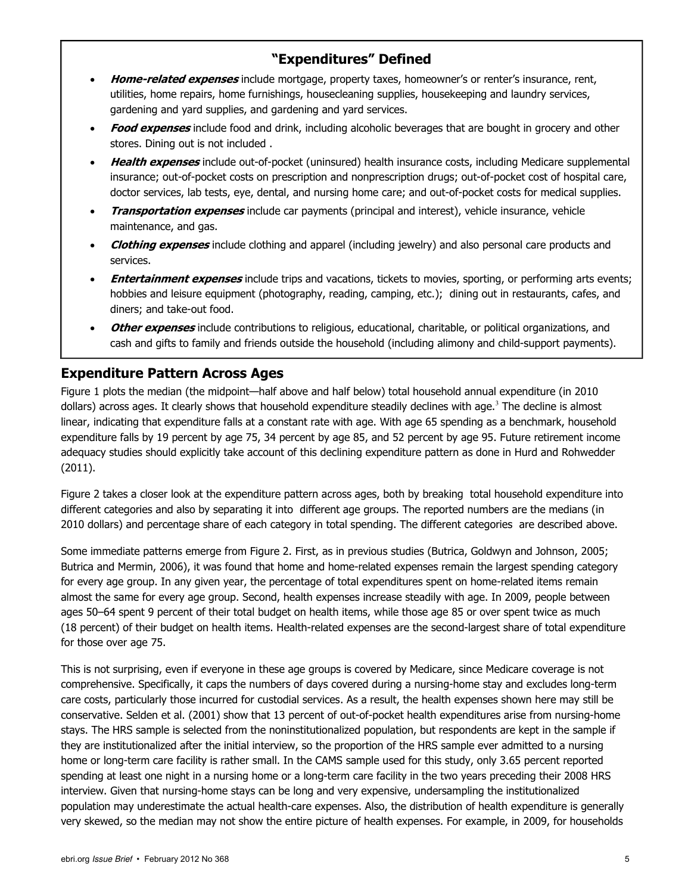#### **"Expenditures" Defined**

- **Home-related expenses** include mortgage, property taxes, homeowner's or renter's insurance, rent, utilities, home repairs, home furnishings, housecleaning supplies, housekeeping and laundry services, gardening and yard supplies, and gardening and yard services.
- **Food expenses** include food and drink, including alcoholic beverages that are bought in grocery and other stores. Dining out is not included .
- **Health expenses** include out-of-pocket (uninsured) health insurance costs, including Medicare supplemental insurance; out-of-pocket costs on prescription and nonprescription drugs; out-of-pocket cost of hospital care, doctor services, lab tests, eye, dental, and nursing home care; and out-of-pocket costs for medical supplies.
- **Transportation expenses** include car payments (principal and interest), vehicle insurance, vehicle maintenance, and gas.
- **Clothing expenses** include clothing and apparel (including jewelry) and also personal care products and services.
- **Entertainment expenses** include trips and vacations, tickets to movies, sporting, or performing arts events; hobbies and leisure equipment (photography, reading, camping, etc.); dining out in restaurants, cafes, and diners; and take-out food.
- **Other expenses** include contributions to religious, educational, charitable, or political organizations, and cash and gifts to family and friends outside the household (including alimony and child-support payments).

#### **Expenditure Pattern Across Ages**

Figure 1 plots the median (the midpoint—half above and half below) total household annual expenditure (in 2010 dollars) across ages. It clearly shows that household expenditure steadily declines with age.<sup>3</sup> The decline is almost linear, indicating that expenditure falls at a constant rate with age. With age 65 spending as a benchmark, household expenditure falls by 19 percent by age 75, 34 percent by age 85, and 52 percent by age 95. Future retirement income adequacy studies should explicitly take account of this declining expenditure pattern as done in Hurd and Rohwedder (2011).

Figure 2 takes a closer look at the expenditure pattern across ages, both by breaking total household expenditure into different categories and also by separating it into different age groups. The reported numbers are the medians (in 2010 dollars) and percentage share of each category in total spending. The different categories are described above.

Some immediate patterns emerge from Figure 2. First, as in previous studies (Butrica, Goldwyn and Johnson, 2005; Butrica and Mermin, 2006), it was found that home and home-related expenses remain the largest spending category for every age group. In any given year, the percentage of total expenditures spent on home-related items remain almost the same for every age group. Second, health expenses increase steadily with age. In 2009, people between ages 50‒64 spent 9 percent of their total budget on health items, while those age 85 or over spent twice as much (18 percent) of their budget on health items. Health-related expenses are the second-largest share of total expenditure for those over age 75.

This is not surprising, even if everyone in these age groups is covered by Medicare, since Medicare coverage is not comprehensive. Specifically, it caps the numbers of days covered during a nursing-home stay and excludes long-term care costs, particularly those incurred for custodial services. As a result, the health expenses shown here may still be conservative. Selden et al. (2001) show that 13 percent of out-of-pocket health expenditures arise from nursing-home stays. The HRS sample is selected from the noninstitutionalized population, but respondents are kept in the sample if they are institutionalized after the initial interview, so the proportion of the HRS sample ever admitted to a nursing home or long-term care facility is rather small. In the CAMS sample used for this study, only 3.65 percent reported spending at least one night in a nursing home or a long-term care facility in the two years preceding their 2008 HRS interview. Given that nursing-home stays can be long and very expensive, undersampling the institutionalized population may underestimate the actual health-care expenses. Also, the distribution of health expenditure is generally very skewed, so the median may not show the entire picture of health expenses. For example, in 2009, for households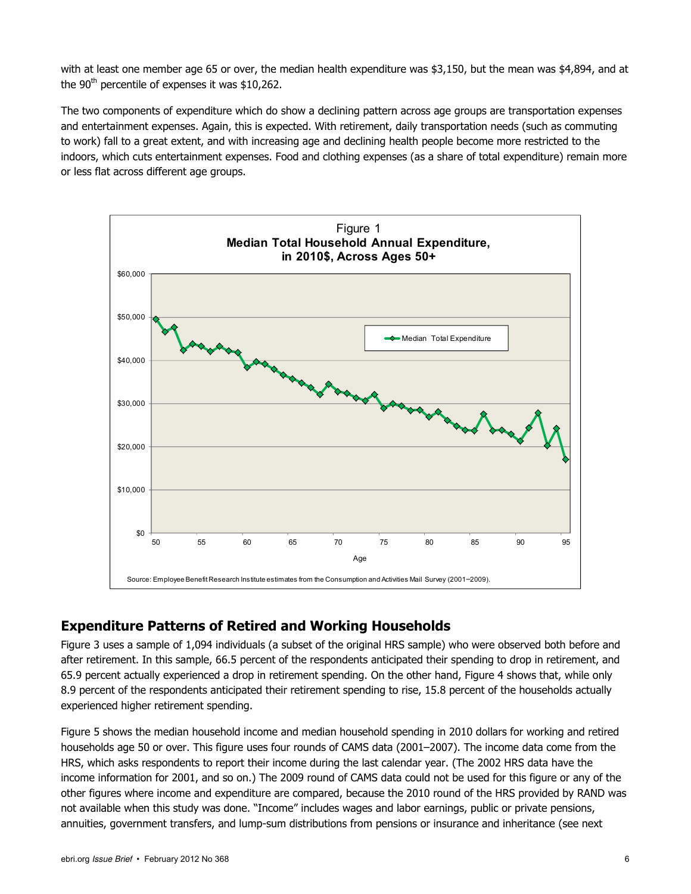with at least one member age 65 or over, the median health expenditure was \$3,150, but the mean was \$4,894, and at the  $90<sup>th</sup>$  percentile of expenses it was \$10,262.

The two components of expenditure which do show a declining pattern across age groups are transportation expenses and entertainment expenses. Again, this is expected. With retirement, daily transportation needs (such as commuting to work) fall to a great extent, and with increasing age and declining health people become more restricted to the indoors, which cuts entertainment expenses. Food and clothing expenses (as a share of total expenditure) remain more or less flat across different age groups.



#### **Expenditure Patterns of Retired and Working Households**

Figure 3 uses a sample of 1,094 individuals (a subset of the original HRS sample) who were observed both before and after retirement. In this sample, 66.5 percent of the respondents anticipated their spending to drop in retirement, and 65.9 percent actually experienced a drop in retirement spending. On the other hand, Figure 4 shows that, while only 8.9 percent of the respondents anticipated their retirement spending to rise, 15.8 percent of the households actually experienced higher retirement spending.

Figure 5 shows the median household income and median household spending in 2010 dollars for working and retired households age 50 or over. This figure uses four rounds of CAMS data (2001–2007). The income data come from the HRS, which asks respondents to report their income during the last calendar year. (The 2002 HRS data have the income information for 2001, and so on.) The 2009 round of CAMS data could not be used for this figure or any of the other figures where income and expenditure are compared, because the 2010 round of the HRS provided by RAND was not available when this study was done. "Income" includes wages and labor earnings, public or private pensions, annuities, government transfers, and lump-sum distributions from pensions or insurance and inheritance (see next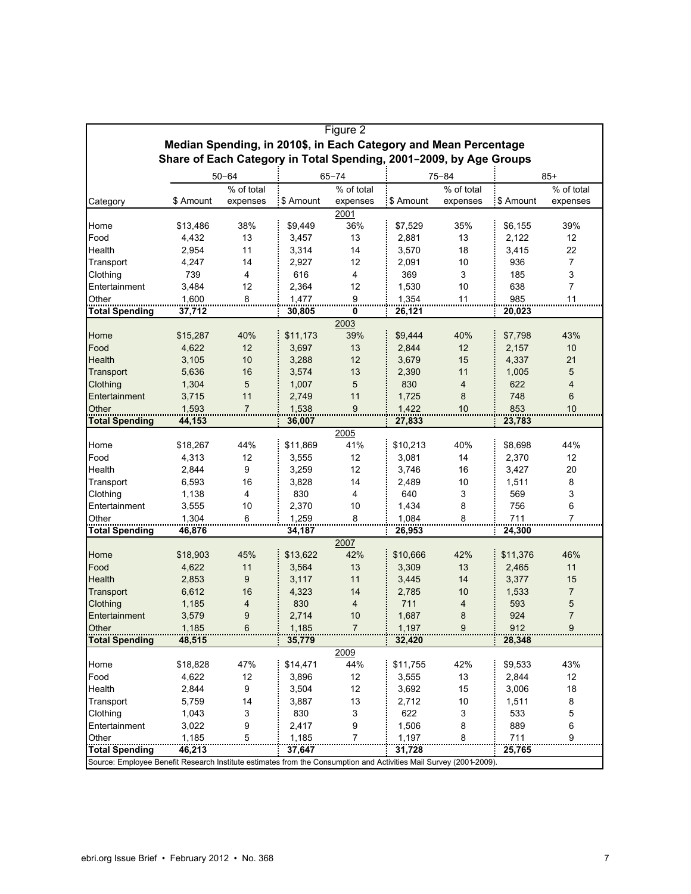|                       |                                                                    |                |           | Figure 2       |                                                                                                                    |                |           |                |  |  |  |  |
|-----------------------|--------------------------------------------------------------------|----------------|-----------|----------------|--------------------------------------------------------------------------------------------------------------------|----------------|-----------|----------------|--|--|--|--|
|                       | Median Spending, in 2010\$, in Each Category and Mean Percentage   |                |           |                |                                                                                                                    |                |           |                |  |  |  |  |
|                       | Share of Each Category in Total Spending, 2001-2009, by Age Groups |                |           |                |                                                                                                                    |                |           |                |  |  |  |  |
|                       |                                                                    | $50 - 64$      |           | $65 - 74$      |                                                                                                                    | $75 - 84$      |           | $85+$          |  |  |  |  |
|                       |                                                                    | % of total     |           | % of total     |                                                                                                                    | % of total     |           | % of total     |  |  |  |  |
| Category              | \$ Amount                                                          | expenses       | \$ Amount | expenses       | \$ Amount                                                                                                          | expenses       | \$ Amount | expenses       |  |  |  |  |
|                       |                                                                    |                |           | 2001           |                                                                                                                    |                |           |                |  |  |  |  |
| Home                  | \$13,486                                                           | 38%            | \$9,449   | 36%            | \$7,529                                                                                                            | 35%            | \$6,155   | 39%            |  |  |  |  |
| Food                  | 4,432                                                              | 13             | 3,457     | 13             | 2,881                                                                                                              | 13             | 2,122     | 12             |  |  |  |  |
| Health                | 2,954                                                              | 11             | 3,314     | 14             | 3,570                                                                                                              | 18             | 3,415     | 22             |  |  |  |  |
| Transport             | 4,247                                                              | 14             | 2,927     | 12             | 2,091                                                                                                              | 10             | 936       | $\overline{7}$ |  |  |  |  |
| Clothing              | 739                                                                | 4              | 616       | 4              | 369                                                                                                                | 3              | 185       | 3              |  |  |  |  |
| Entertainment         | 3,484                                                              | 12             | 2,364     | 12             | 1,530                                                                                                              | 10             | 638       | $\overline{7}$ |  |  |  |  |
| Other                 | 1,600                                                              | 8              | 1,477     | 9              | 1,354                                                                                                              | 11             | 985       | 11             |  |  |  |  |
| <b>Total Spending</b> | 37,712                                                             |                | 30,805    | 0              | 26,121                                                                                                             |                | 20,023    |                |  |  |  |  |
|                       |                                                                    |                |           | 2003           |                                                                                                                    |                |           |                |  |  |  |  |
| Home                  | \$15,287                                                           | 40%            | \$11,173  | 39%            | \$9,444                                                                                                            | 40%            | \$7,798   | 43%            |  |  |  |  |
| Food                  | 4,622                                                              | 12             | 3,697     | 13             | 2,844                                                                                                              | 12             | 2,157     | 10             |  |  |  |  |
| <b>Health</b>         | 3,105                                                              | 10             | 3,288     | 12             | 3,679                                                                                                              | 15             | 4,337     | 21             |  |  |  |  |
| Transport             | 5,636                                                              | 16             | 3,574     | 13             | 2,390                                                                                                              | 11             | 1,005     | 5              |  |  |  |  |
| Clothing              | 1,304                                                              | 5              | 1,007     | 5              | 830                                                                                                                | $\overline{4}$ | 622       | $\overline{4}$ |  |  |  |  |
| Entertainment         | 3,715                                                              | 11             | 2,749     | 11             | 1,725                                                                                                              | 8              | 748       | 6              |  |  |  |  |
| Other<br>             | 1,593                                                              | $\overline{7}$ | 1,538     | 9              | 1,422                                                                                                              | 10             | 853       | 10             |  |  |  |  |
| <b>Total Spending</b> | 44,153                                                             |                | 36,007    |                | 27,833                                                                                                             |                | 23,783    |                |  |  |  |  |
|                       |                                                                    |                |           | 2005           |                                                                                                                    |                |           |                |  |  |  |  |
| Home                  | \$18,267                                                           | 44%            | \$11,869  | 41%            | \$10,213                                                                                                           | 40%            | \$8,698   | 44%            |  |  |  |  |
| Food                  | 4,313                                                              | 12             | 3,555     | 12             | 3,081                                                                                                              | 14             | 2,370     | 12             |  |  |  |  |
| Health                | 2,844                                                              | 9              | 3,259     | 12             | 3,746                                                                                                              | 16             | 3,427     | 20             |  |  |  |  |
| Transport             | 6,593                                                              | 16             | 3,828     | 14             | 2,489                                                                                                              | 10             | 1,511     | 8              |  |  |  |  |
| Clothing              | 1,138                                                              | 4              | 830       | 4              | 640                                                                                                                | 3              | 569       | 3              |  |  |  |  |
| Entertainment         | 3,555                                                              | 10             | 2,370     | 10             | 1,434                                                                                                              | 8              | 756       | 6              |  |  |  |  |
| Other                 | 1,304                                                              | 6              | 1,259     | 8              | 1,084                                                                                                              | 8              | 711       | 7              |  |  |  |  |
| <b>Total Spending</b> | 46,876                                                             |                | 34,187    |                | 26,953                                                                                                             |                | 24,300    |                |  |  |  |  |
|                       |                                                                    |                |           | 2007           |                                                                                                                    |                |           |                |  |  |  |  |
| Home                  | \$18,903                                                           | 45%            | \$13,622  | 42%            | \$10,666                                                                                                           | 42%            | \$11,376  | 46%            |  |  |  |  |
| Food                  | 4,622                                                              | 11             | 3,564     | 13             | 3,309                                                                                                              | 13             | 2,465     | 11             |  |  |  |  |
| Health                | 2,853                                                              | 9              | 3,117     | 11             | 3,445                                                                                                              | 14             | 3,377     | 15             |  |  |  |  |
| Transport             | 6,612                                                              | 16             | 4,323     | 14             | 2,785                                                                                                              | 10             | 1,533     | $\overline{7}$ |  |  |  |  |
| Clothing              | 1,185                                                              | 4              | 830       | 4              | 711                                                                                                                | 4              | 593       | 5              |  |  |  |  |
| Entertainment         | 3,579                                                              | 9              | 2,714     | 10             | 1,687                                                                                                              | 8              | 924       | $\overline{7}$ |  |  |  |  |
| Other                 | 1,185                                                              | 6              | 1,185     | $\overline{7}$ | 1,197                                                                                                              | 9              | 912       | $9\,$          |  |  |  |  |
| <b>Total Spending</b> | 48,515                                                             |                | 35,779    |                | 32,420                                                                                                             |                | 28,348    |                |  |  |  |  |
|                       |                                                                    |                |           | 2009           |                                                                                                                    |                |           |                |  |  |  |  |
| Home                  | \$18,828                                                           | 47%            | \$14,471  | 44%            | \$11,755                                                                                                           | 42%            | \$9,533   | 43%            |  |  |  |  |
| Food                  | 4,622                                                              | 12             | 3,896     | 12             | 3,555                                                                                                              | 13             | 2,844     | 12             |  |  |  |  |
| Health                | 2,844                                                              | 9              | 3,504     | 12             | 3,692                                                                                                              | 15             | 3,006     | 18             |  |  |  |  |
| Transport             | 5,759                                                              | 14             | 3,887     | 13             | 2,712                                                                                                              | 10             | 1,511     | 8              |  |  |  |  |
| Clothing              | 1,043                                                              | 3              | 830       | 3              | 622                                                                                                                | 3              | 533       | 5              |  |  |  |  |
| Entertainment         | 3,022                                                              | 9              | 2,417     | 9              | 1,506                                                                                                              | 8              | 889       | 6              |  |  |  |  |
| Other                 | 1,185                                                              | 5              | 1,185     | $\overline{7}$ | 1,197                                                                                                              | 8              | 711       | 9              |  |  |  |  |
| <b>Total Spending</b> | 46,213                                                             |                | 37,647    |                | 31,728                                                                                                             |                | 25,765    |                |  |  |  |  |
|                       |                                                                    |                |           |                | Source: Employee Benefit Research Institute estimates from the Consumption and Activities Mail Survey (2001-2009). |                |           |                |  |  |  |  |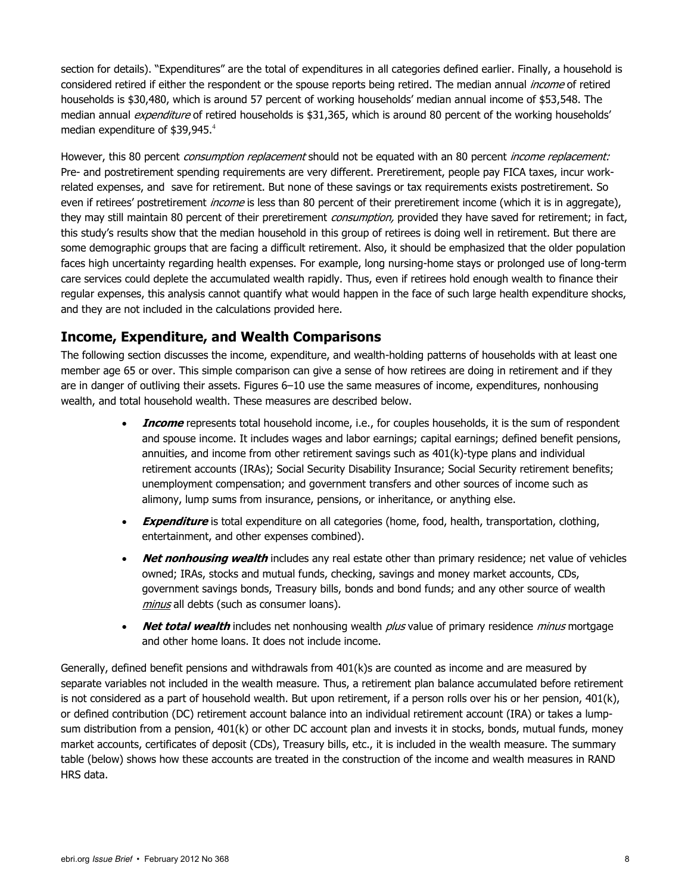section for details). "Expenditures" are the total of expenditures in all categories defined earlier. Finally, a household is considered retired if either the respondent or the spouse reports being retired. The median annual *income* of retired households is \$30,480, which is around 57 percent of working households' median annual income of \$53,548. The median annual *expenditure* of retired households is \$31,365, which is around 80 percent of the working households' median expenditure of  $$39,945.^4$ 

However, this 80 percent *consumption replacement* should not be equated with an 80 percent *income replacement:* Pre- and postretirement spending requirements are very different. Preretirement, people pay FICA taxes, incur workrelated expenses, and save for retirement. But none of these savings or tax requirements exists postretirement. So even if retirees' postretirement *income* is less than 80 percent of their preretirement income (which it is in aggregate), they may still maintain 80 percent of their preretirement consumption, provided they have saved for retirement; in fact, this study's results show that the median household in this group of retirees is doing well in retirement. But there are some demographic groups that are facing a difficult retirement. Also, it should be emphasized that the older population faces high uncertainty regarding health expenses. For example, long nursing-home stays or prolonged use of long-term care services could deplete the accumulated wealth rapidly. Thus, even if retirees hold enough wealth to finance their regular expenses, this analysis cannot quantify what would happen in the face of such large health expenditure shocks, and they are not included in the calculations provided here.

#### **Income, Expenditure, and Wealth Comparisons**

The following section discusses the income, expenditure, and wealth-holding patterns of households with at least one member age 65 or over. This simple comparison can give a sense of how retirees are doing in retirement and if they are in danger of outliving their assets. Figures 6–10 use the same measures of income, expenditures, nonhousing wealth, and total household wealth. These measures are described below.

- **Income** represents total household income, i.e., for couples households, it is the sum of respondent and spouse income. It includes wages and labor earnings; capital earnings; defined benefit pensions, annuities, and income from other retirement savings such as 401(k)-type plans and individual retirement accounts (IRAs); Social Security Disability Insurance; Social Security retirement benefits; unemployment compensation; and government transfers and other sources of income such as alimony, lump sums from insurance, pensions, or inheritance, or anything else.
- **Expenditure** is total expenditure on all categories (home, food, health, transportation, clothing, entertainment, and other expenses combined).
- **Net nonhousing wealth** includes any real estate other than primary residence; net value of vehicles owned; IRAs, stocks and mutual funds, checking, savings and money market accounts, CDs, government savings bonds, Treasury bills, bonds and bond funds; and any other source of wealth minus all debts (such as consumer loans).
- **Net total wealth** includes net nonhousing wealth *plus* value of primary residence *minus* mortgage and other home loans. It does not include income.

Generally, defined benefit pensions and withdrawals from 401(k)s are counted as income and are measured by separate variables not included in the wealth measure. Thus, a retirement plan balance accumulated before retirement is not considered as a part of household wealth. But upon retirement, if a person rolls over his or her pension, 401(k), or defined contribution (DC) retirement account balance into an individual retirement account (IRA) or takes a lumpsum distribution from a pension, 401(k) or other DC account plan and invests it in stocks, bonds, mutual funds, money market accounts, certificates of deposit (CDs), Treasury bills, etc., it is included in the wealth measure. The summary table (below) shows how these accounts are treated in the construction of the income and wealth measures in RAND HRS data.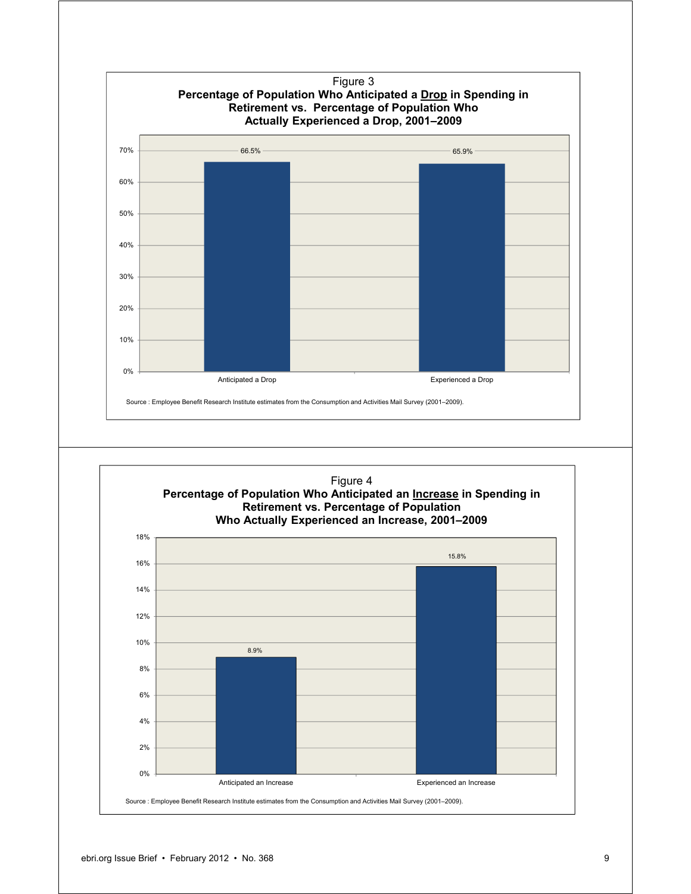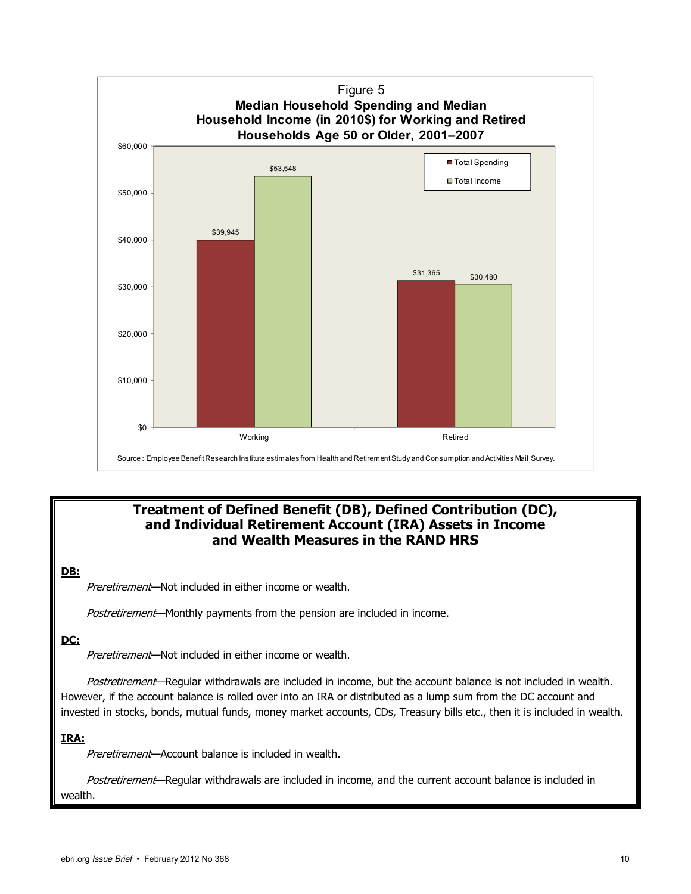

#### **Treatment of Defined Benefit (DB), Defined Contribution (DC), and Individual Retirement Account (IRA) Assets in Income and Wealth Measures in the RAND HRS**

#### **DB:**

Preretirement—Not included in either income or wealth.

Postretirement—Monthly payments from the pension are included in income.

#### **DC:**

Preretirement-Not included in either income or wealth.

Postretirement—Regular withdrawals are included in income, but the account balance is not included in wealth. However, if the account balance is rolled over into an IRA or distributed as a lump sum from the DC account and invested in stocks, bonds, mutual funds, money market accounts, CDs, Treasury bills etc., then it is included in wealth.

#### **IRA:**

Preretirement—Account balance is included in wealth.

Postretirement—Regular withdrawals are included in income, and the current account balance is included in wealth.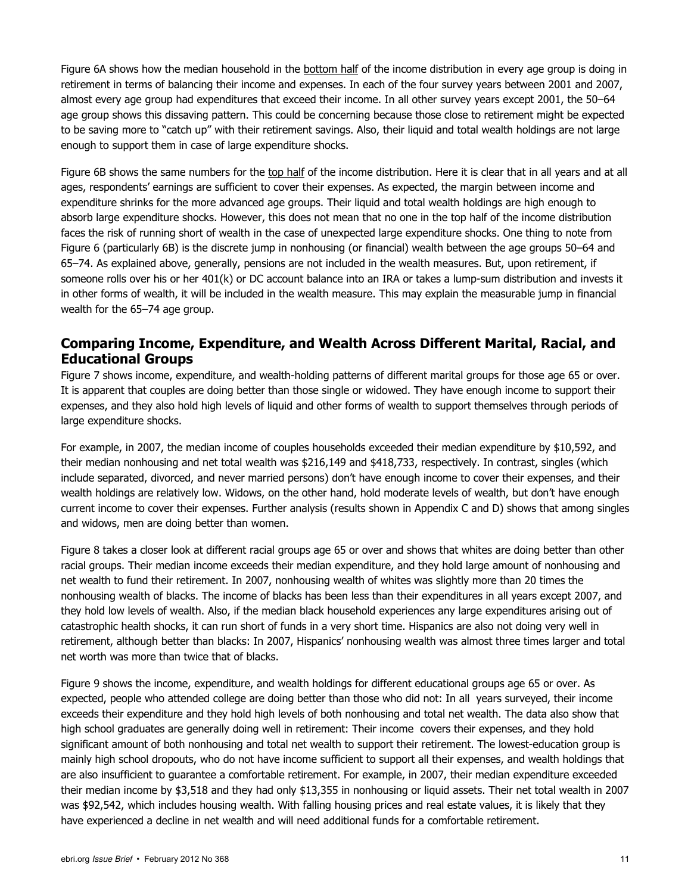Figure 6A shows how the median household in the bottom half of the income distribution in every age group is doing in retirement in terms of balancing their income and expenses. In each of the four survey years between 2001 and 2007, almost every age group had expenditures that exceed their income. In all other survey years except 2001, the 50-64 age group shows this dissaving pattern. This could be concerning because those close to retirement might be expected to be saving more to "catch up" with their retirement savings. Also, their liquid and total wealth holdings are not large enough to support them in case of large expenditure shocks.

Figure 6B shows the same numbers for the top half of the income distribution. Here it is clear that in all years and at all ages, respondents' earnings are sufficient to cover their expenses. As expected, the margin between income and expenditure shrinks for the more advanced age groups. Their liquid and total wealth holdings are high enough to absorb large expenditure shocks. However, this does not mean that no one in the top half of the income distribution faces the risk of running short of wealth in the case of unexpected large expenditure shocks. One thing to note from Figure 6 (particularly 6B) is the discrete jump in nonhousing (or financial) wealth between the age groups 50‒64 and 65–74. As explained above, generally, pensions are not included in the wealth measures. But, upon retirement, if someone rolls over his or her 401(k) or DC account balance into an IRA or takes a lump-sum distribution and invests it in other forms of wealth, it will be included in the wealth measure. This may explain the measurable jump in financial wealth for the 65-74 age group.

#### **Comparing Income, Expenditure, and Wealth Across Different Marital, Racial, and Educational Groups**

Figure 7 shows income, expenditure, and wealth-holding patterns of different marital groups for those age 65 or over. It is apparent that couples are doing better than those single or widowed. They have enough income to support their expenses, and they also hold high levels of liquid and other forms of wealth to support themselves through periods of large expenditure shocks.

For example, in 2007, the median income of couples households exceeded their median expenditure by \$10,592, and their median nonhousing and net total wealth was \$216,149 and \$418,733, respectively. In contrast, singles (which include separated, divorced, and never married persons) don't have enough income to cover their expenses, and their wealth holdings are relatively low. Widows, on the other hand, hold moderate levels of wealth, but don't have enough current income to cover their expenses. Further analysis (results shown in Appendix C and D) shows that among singles and widows, men are doing better than women.

Figure 8 takes a closer look at different racial groups age 65 or over and shows that whites are doing better than other racial groups. Their median income exceeds their median expenditure, and they hold large amount of nonhousing and net wealth to fund their retirement. In 2007, nonhousing wealth of whites was slightly more than 20 times the nonhousing wealth of blacks. The income of blacks has been less than their expenditures in all years except 2007, and they hold low levels of wealth. Also, if the median black household experiences any large expenditures arising out of catastrophic health shocks, it can run short of funds in a very short time. Hispanics are also not doing very well in retirement, although better than blacks: In 2007, Hispanics' nonhousing wealth was almost three times larger and total net worth was more than twice that of blacks.

Figure 9 shows the income, expenditure, and wealth holdings for different educational groups age 65 or over. As expected, people who attended college are doing better than those who did not: In all years surveyed, their income exceeds their expenditure and they hold high levels of both nonhousing and total net wealth. The data also show that high school graduates are generally doing well in retirement: Their income covers their expenses, and they hold significant amount of both nonhousing and total net wealth to support their retirement. The lowest-education group is mainly high school dropouts, who do not have income sufficient to support all their expenses, and wealth holdings that are also insufficient to guarantee a comfortable retirement. For example, in 2007, their median expenditure exceeded their median income by \$3,518 and they had only \$13,355 in nonhousing or liquid assets. Their net total wealth in 2007 was \$92,542, which includes housing wealth. With falling housing prices and real estate values, it is likely that they have experienced a decline in net wealth and will need additional funds for a comfortable retirement.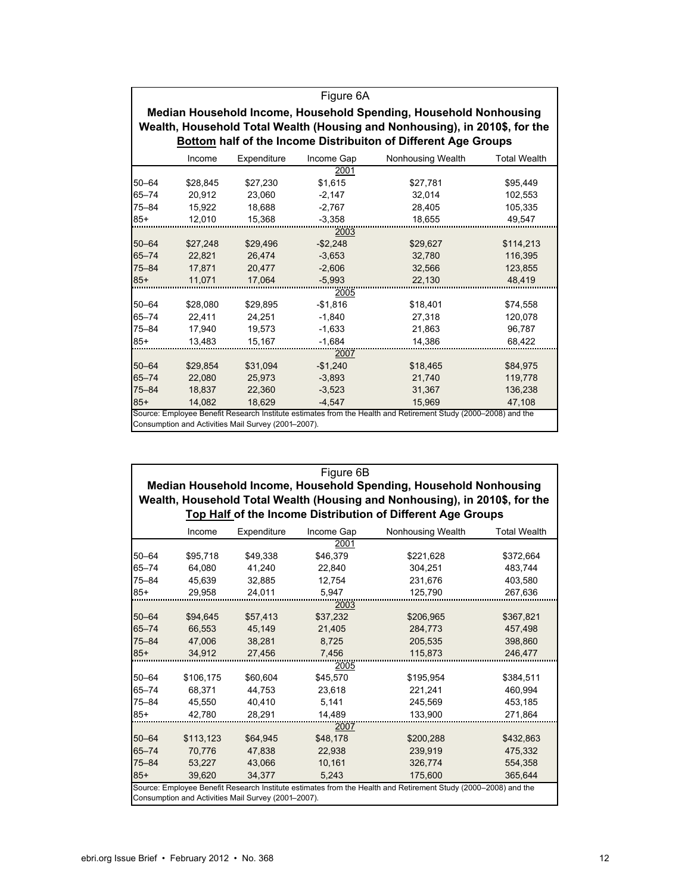|           | Figure 6A                                                                                                                                        |                                                     |            |                                                                                                                |                     |  |  |  |  |  |
|-----------|--------------------------------------------------------------------------------------------------------------------------------------------------|-----------------------------------------------------|------------|----------------------------------------------------------------------------------------------------------------|---------------------|--|--|--|--|--|
|           |                                                                                                                                                  |                                                     |            |                                                                                                                |                     |  |  |  |  |  |
|           | Median Household Income, Household Spending, Household Nonhousing<br>Wealth, Household Total Wealth (Housing and Nonhousing), in 2010\$, for the |                                                     |            |                                                                                                                |                     |  |  |  |  |  |
|           | Bottom half of the Income Distribuiton of Different Age Groups                                                                                   |                                                     |            |                                                                                                                |                     |  |  |  |  |  |
|           |                                                                                                                                                  |                                                     |            |                                                                                                                |                     |  |  |  |  |  |
|           | Income                                                                                                                                           | Expenditure                                         | Income Gap | Nonhousing Wealth                                                                                              | <b>Total Wealth</b> |  |  |  |  |  |
|           |                                                                                                                                                  |                                                     | 2001       |                                                                                                                |                     |  |  |  |  |  |
| $50 - 64$ | \$28,845                                                                                                                                         | \$27,230                                            | \$1.615    | \$27,781                                                                                                       | \$95,449            |  |  |  |  |  |
| $65 - 74$ | 20.912                                                                                                                                           | 23.060                                              | $-2,147$   | 32.014                                                                                                         | 102,553             |  |  |  |  |  |
| $75 - 84$ | 15.922                                                                                                                                           | 18.688                                              | $-2,767$   | 28.405                                                                                                         | 105,335             |  |  |  |  |  |
| $85+$     | 12,010                                                                                                                                           | 15,368                                              | $-3,358$   | 18,655                                                                                                         | 49,547              |  |  |  |  |  |
|           |                                                                                                                                                  |                                                     | 2003       |                                                                                                                |                     |  |  |  |  |  |
| $50 - 64$ | \$27,248                                                                                                                                         | \$29,496                                            | $-$2,248$  | \$29,627                                                                                                       | \$114,213           |  |  |  |  |  |
| $65 - 74$ | 22,821                                                                                                                                           | 26.474                                              | $-3,653$   | 32,780                                                                                                         | 116,395             |  |  |  |  |  |
| $75 - 84$ | 17,871                                                                                                                                           | 20,477                                              | $-2,606$   | 32,566                                                                                                         | 123,855             |  |  |  |  |  |
| $85+$     | 11,071                                                                                                                                           | 17,064                                              | $-5,993$   | 22,130                                                                                                         | 48,419              |  |  |  |  |  |
|           |                                                                                                                                                  |                                                     | 2005       |                                                                                                                |                     |  |  |  |  |  |
| $50 - 64$ | \$28,080                                                                                                                                         | \$29,895                                            | $-$1,816$  | \$18,401                                                                                                       | \$74,558            |  |  |  |  |  |
| $65 - 74$ | 22,411                                                                                                                                           | 24,251                                              | $-1,840$   | 27,318                                                                                                         | 120,078             |  |  |  |  |  |
| $75 - 84$ | 17,940                                                                                                                                           | 19,573                                              | $-1,633$   | 21,863                                                                                                         | 96,787              |  |  |  |  |  |
| $85+$     | 13,483                                                                                                                                           | 15,167                                              | $-1,684$   | 14,386                                                                                                         | 68,422              |  |  |  |  |  |
|           |                                                                                                                                                  |                                                     | 2007       |                                                                                                                |                     |  |  |  |  |  |
| $50 - 64$ | \$29,854                                                                                                                                         | \$31,094                                            | $-$1,240$  | \$18,465                                                                                                       | \$84,975            |  |  |  |  |  |
| $65 - 74$ | 22,080                                                                                                                                           | 25,973                                              | $-3,893$   | 21,740                                                                                                         | 119,778             |  |  |  |  |  |
| $75 - 84$ | 18,837                                                                                                                                           | 22,360                                              | $-3,523$   | 31,367                                                                                                         | 136,238             |  |  |  |  |  |
| $85+$     | 14.082                                                                                                                                           | 18.629                                              | $-4.547$   | 15,969                                                                                                         | 47,108              |  |  |  |  |  |
|           |                                                                                                                                                  |                                                     |            | Source: Employee Benefit Research Institute estimates from the Health and Retirement Study (2000–2008) and the |                     |  |  |  |  |  |
|           |                                                                                                                                                  | Consumption and Activities Mail Survey (2001-2007). |            |                                                                                                                |                     |  |  |  |  |  |

|                                                     | Figure 6B                                                         |             |            |                                                                                                                |                     |  |  |  |  |
|-----------------------------------------------------|-------------------------------------------------------------------|-------------|------------|----------------------------------------------------------------------------------------------------------------|---------------------|--|--|--|--|
|                                                     | Median Household Income, Household Spending, Household Nonhousing |             |            |                                                                                                                |                     |  |  |  |  |
|                                                     |                                                                   |             |            | Wealth, Household Total Wealth (Housing and Nonhousing), in 2010\$, for the                                    |                     |  |  |  |  |
|                                                     |                                                                   |             |            | Top Half of the Income Distribution of Different Age Groups                                                    |                     |  |  |  |  |
|                                                     | Income                                                            | Expenditure | Income Gap | Nonhousing Wealth                                                                                              | <b>Total Wealth</b> |  |  |  |  |
|                                                     |                                                                   |             | 2001       |                                                                                                                |                     |  |  |  |  |
| $50 - 64$                                           | \$95,718                                                          | \$49,338    | \$46,379   | \$221,628                                                                                                      | \$372,664           |  |  |  |  |
| $65 - 74$                                           | 64,080                                                            | 41,240      | 22,840     | 304,251                                                                                                        | 483,744             |  |  |  |  |
| $75 - 84$                                           | 45.639                                                            | 32.885      | 12.754     | 231.676                                                                                                        | 403,580             |  |  |  |  |
| $85+$                                               | 29,958                                                            | 24,011      | 5,947      | 125,790                                                                                                        | 267,636             |  |  |  |  |
|                                                     |                                                                   |             | 2003       |                                                                                                                |                     |  |  |  |  |
| $50 - 64$                                           | \$94,645                                                          | \$57,413    | \$37,232   | \$206,965                                                                                                      | \$367,821           |  |  |  |  |
| $65 - 74$                                           | 66,553                                                            | 45,149      | 21,405     | 284,773                                                                                                        | 457,498             |  |  |  |  |
| $75 - 84$                                           | 47,006                                                            | 38,281      | 8,725      | 205,535                                                                                                        | 398,860             |  |  |  |  |
| $85+$                                               | 34,912                                                            | 27,456      | 7,456      | 115,873                                                                                                        | 246,477             |  |  |  |  |
|                                                     |                                                                   |             | 2005       |                                                                                                                |                     |  |  |  |  |
| $50 - 64$                                           | \$106,175                                                         | \$60,604    | \$45,570   | \$195,954                                                                                                      | \$384,511           |  |  |  |  |
| $65 - 74$                                           | 68,371                                                            | 44,753      | 23,618     | 221,241                                                                                                        | 460,994             |  |  |  |  |
| $75 - 84$                                           | 45.550                                                            | 40.410      | 5.141      | 245.569                                                                                                        | 453.185             |  |  |  |  |
| $85+$                                               | 42,780                                                            | 28,291      | 14,489     | 133,900                                                                                                        | 271,864             |  |  |  |  |
|                                                     |                                                                   |             | 2007       |                                                                                                                |                     |  |  |  |  |
| $50 - 64$                                           | \$113,123                                                         | \$64,945    | \$48,178   | \$200,288                                                                                                      | \$432,863           |  |  |  |  |
| $65 - 74$                                           | 70.776                                                            | 47.838      | 22.938     | 239.919                                                                                                        | 475.332             |  |  |  |  |
| $75 - 84$                                           | 53.227                                                            | 43.066      | 10.161     | 326,774                                                                                                        | 554.358             |  |  |  |  |
| $85+$                                               | 39.620                                                            | 34.377      | 5,243      | 175,600                                                                                                        | 365,644             |  |  |  |  |
|                                                     |                                                                   |             |            | Source: Employee Benefit Research Institute estimates from the Health and Retirement Study (2000–2008) and the |                     |  |  |  |  |
| Consumption and Activities Mail Survey (2001-2007). |                                                                   |             |            |                                                                                                                |                     |  |  |  |  |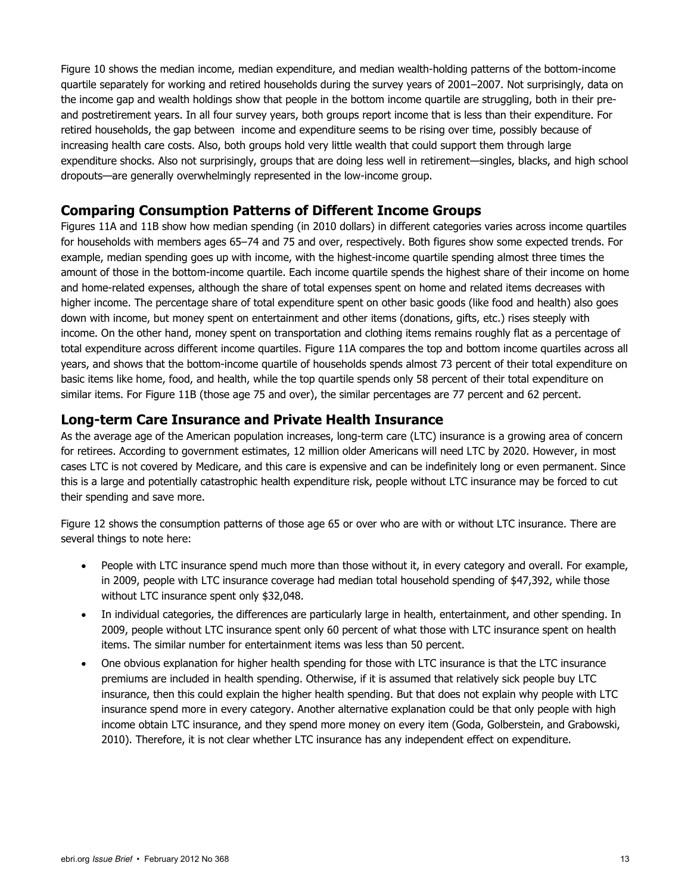Figure 10 shows the median income, median expenditure, and median wealth-holding patterns of the bottom-income quartile separately for working and retired households during the survey years of 2001–2007. Not surprisingly, data on the income gap and wealth holdings show that people in the bottom income quartile are struggling, both in their preand postretirement years. In all four survey years, both groups report income that is less than their expenditure. For retired households, the gap between income and expenditure seems to be rising over time, possibly because of increasing health care costs. Also, both groups hold very little wealth that could support them through large expenditure shocks. Also not surprisingly, groups that are doing less well in retirement—singles, blacks, and high school dropouts—are generally overwhelmingly represented in the low-income group.

#### **Comparing Consumption Patterns of Different Income Groups**

Figures 11A and 11B show how median spending (in 2010 dollars) in different categories varies across income quartiles for households with members ages 65–74 and 75 and over, respectively. Both figures show some expected trends. For example, median spending goes up with income, with the highest-income quartile spending almost three times the amount of those in the bottom-income quartile. Each income quartile spends the highest share of their income on home and home-related expenses, although the share of total expenses spent on home and related items decreases with higher income. The percentage share of total expenditure spent on other basic goods (like food and health) also goes down with income, but money spent on entertainment and other items (donations, gifts, etc.) rises steeply with income. On the other hand, money spent on transportation and clothing items remains roughly flat as a percentage of total expenditure across different income quartiles. Figure 11A compares the top and bottom income quartiles across all years, and shows that the bottom-income quartile of households spends almost 73 percent of their total expenditure on basic items like home, food, and health, while the top quartile spends only 58 percent of their total expenditure on similar items. For Figure 11B (those age 75 and over), the similar percentages are 77 percent and 62 percent.

#### **Long-term Care Insurance and Private Health Insurance**

As the average age of the American population increases, long-term care (LTC) insurance is a growing area of concern for retirees. According to government estimates, 12 million older Americans will need LTC by 2020. However, in most cases LTC is not covered by Medicare, and this care is expensive and can be indefinitely long or even permanent. Since this is a large and potentially catastrophic health expenditure risk, people without LTC insurance may be forced to cut their spending and save more.

Figure 12 shows the consumption patterns of those age 65 or over who are with or without LTC insurance. There are several things to note here:

- People with LTC insurance spend much more than those without it, in every category and overall. For example, in 2009, people with LTC insurance coverage had median total household spending of \$47,392, while those without LTC insurance spent only \$32,048.
- In individual categories, the differences are particularly large in health, entertainment, and other spending. In 2009, people without LTC insurance spent only 60 percent of what those with LTC insurance spent on health items. The similar number for entertainment items was less than 50 percent.
- One obvious explanation for higher health spending for those with LTC insurance is that the LTC insurance premiums are included in health spending. Otherwise, if it is assumed that relatively sick people buy LTC insurance, then this could explain the higher health spending. But that does not explain why people with LTC insurance spend more in every category. Another alternative explanation could be that only people with high income obtain LTC insurance, and they spend more money on every item (Goda, Golberstein, and Grabowski, 2010). Therefore, it is not clear whether LTC insurance has any independent effect on expenditure.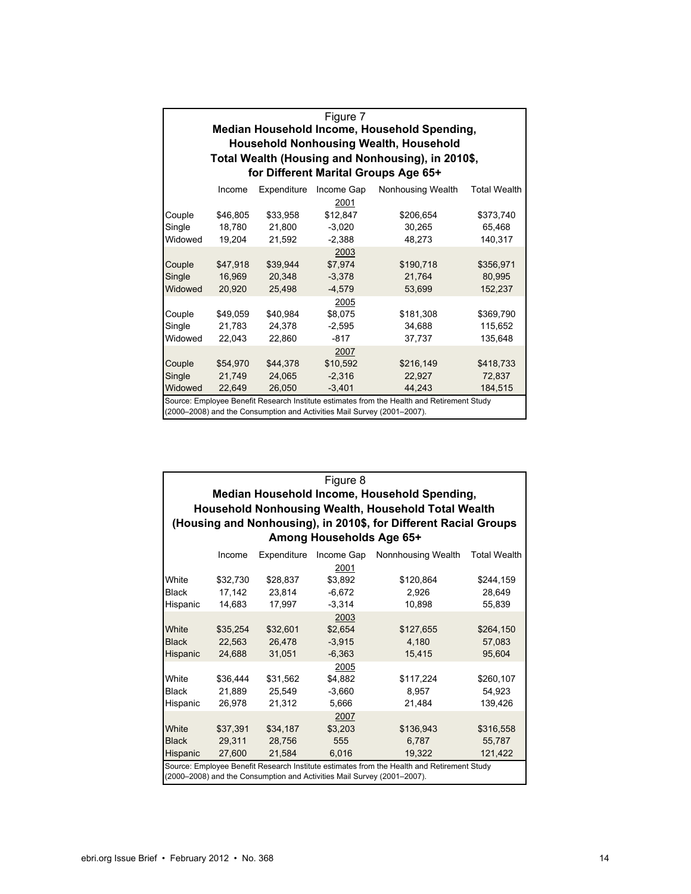| Figure 7<br>Median Household Income, Household Spending,<br><b>Household Nonhousing Wealth, Household</b><br>Total Wealth (Housing and Nonhousing), in 2010\$,<br>for Different Marital Groups Age 65+ |                              |                              |                                                                         |                                                                                            |                                 |  |  |  |
|--------------------------------------------------------------------------------------------------------------------------------------------------------------------------------------------------------|------------------------------|------------------------------|-------------------------------------------------------------------------|--------------------------------------------------------------------------------------------|---------------------------------|--|--|--|
|                                                                                                                                                                                                        | Income                       | Expenditure                  | Income Gap                                                              | Nonhousing Wealth                                                                          | <b>Total Wealth</b>             |  |  |  |
| Couple<br>Single<br>Widowed                                                                                                                                                                            | \$46,805<br>18,780<br>19,204 | \$33,958<br>21,800<br>21,592 | 2001<br>\$12,847<br>$-3,020$<br>$-2,388$                                | \$206,654<br>30,265<br>48,273                                                              | \$373,740<br>65,468<br>140,317  |  |  |  |
| Couple<br>Single<br>Widowed                                                                                                                                                                            | \$47,918<br>16,969<br>20,920 | \$39.944<br>20,348<br>25,498 | 2003<br>\$7,974<br>$-3,378$<br>$-4,579$                                 | \$190,718<br>21,764<br>53,699                                                              | \$356,971<br>80,995<br>152,237  |  |  |  |
| Couple<br>Single<br>Widowed                                                                                                                                                                            | \$49,059<br>21,783<br>22.043 | \$40,984<br>24,378<br>22,860 | 2005<br>\$8,075<br>$-2,595$<br>$-817$                                   | \$181,308<br>34.688<br>37.737                                                              | \$369,790<br>115,652<br>135,648 |  |  |  |
| Couple<br>Single<br>Widowed                                                                                                                                                                            | \$54,970<br>21,749<br>22.649 | \$44,378<br>24.065<br>26,050 | 2007<br>\$10,592<br>$-2.316$<br>$-3,401$                                | \$216,149<br>22.927<br>44,243                                                              | \$418,733<br>72.837<br>184,515  |  |  |  |
|                                                                                                                                                                                                        |                              |                              | (2000–2008) and the Consumption and Activities Mail Survey (2001–2007). | Source: Employee Benefit Research Institute estimates from the Health and Retirement Study |                                 |  |  |  |

| Figure 8     |                                                            |             |                                                                         |                                                                                            |                     |  |  |  |  |
|--------------|------------------------------------------------------------|-------------|-------------------------------------------------------------------------|--------------------------------------------------------------------------------------------|---------------------|--|--|--|--|
|              | Median Household Income, Household Spending,               |             |                                                                         |                                                                                            |                     |  |  |  |  |
|              | <b>Household Nonhousing Wealth, Household Total Wealth</b> |             |                                                                         |                                                                                            |                     |  |  |  |  |
|              |                                                            |             |                                                                         | (Housing and Nonhousing), in 2010\$, for Different Racial Groups                           |                     |  |  |  |  |
|              |                                                            |             | Among Households Age 65+                                                |                                                                                            |                     |  |  |  |  |
|              | Income                                                     | Expenditure | Income Gap                                                              | Nonnhousing Wealth                                                                         | <b>Total Wealth</b> |  |  |  |  |
|              |                                                            |             | 2001                                                                    |                                                                                            |                     |  |  |  |  |
| White        | \$32,730                                                   | \$28,837    | \$3,892                                                                 | \$120,864                                                                                  | \$244,159           |  |  |  |  |
| <b>Black</b> | 17,142                                                     | 23,814      | $-6,672$                                                                | 2,926                                                                                      | 28,649              |  |  |  |  |
| Hispanic     | 14.683                                                     | 17.997      | $-3.314$                                                                | 10,898                                                                                     | 55.839              |  |  |  |  |
|              |                                                            |             | 2003                                                                    |                                                                                            |                     |  |  |  |  |
| White        | \$35,254                                                   | \$32,601    | \$2,654                                                                 | \$127,655                                                                                  | \$264,150           |  |  |  |  |
| <b>Black</b> | 22.563                                                     | 26.478      | $-3,915$                                                                | 4.180                                                                                      | 57.083              |  |  |  |  |
| Hispanic     | 24.688                                                     | 31.051      | $-6,363$                                                                | 15.415                                                                                     | 95.604              |  |  |  |  |
|              |                                                            |             | 2005                                                                    |                                                                                            |                     |  |  |  |  |
| White        | \$36,444                                                   | \$31,562    | \$4,882                                                                 | \$117,224                                                                                  | \$260,107           |  |  |  |  |
| <b>Black</b> | 21.889                                                     | 25.549      | $-3.660$                                                                | 8.957                                                                                      | 54,923              |  |  |  |  |
| Hispanic     | 26.978                                                     | 21.312      | 5,666                                                                   | 21.484                                                                                     | 139.426             |  |  |  |  |
|              |                                                            |             | 2007                                                                    |                                                                                            |                     |  |  |  |  |
| White        | \$37,391                                                   | \$34,187    | \$3,203                                                                 | \$136,943                                                                                  | \$316,558           |  |  |  |  |
| <b>Black</b> | 29,311                                                     | 28,756      | 555                                                                     | 6,787                                                                                      | 55,787              |  |  |  |  |
| Hispanic     | 27,600                                                     | 21,584      | 6,016                                                                   | 19,322                                                                                     | 121,422             |  |  |  |  |
|              |                                                            |             | (2000–2008) and the Consumption and Activities Mail Survey (2001–2007). | Source: Employee Benefit Research Institute estimates from the Health and Retirement Study |                     |  |  |  |  |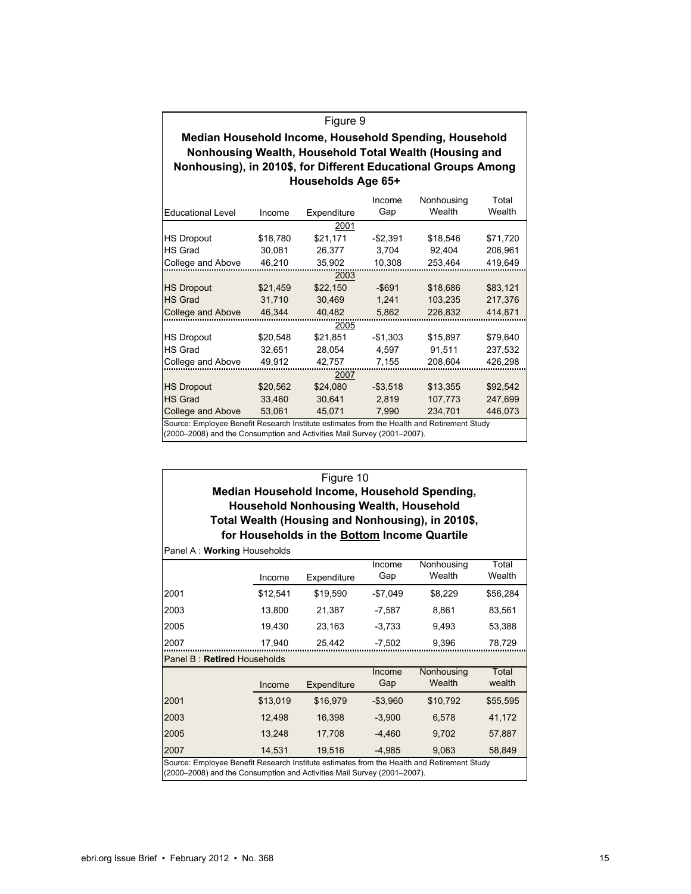| Figure 9                                                       |
|----------------------------------------------------------------|
| Median Household Income, Household Spending, Household         |
| Nonhousing Wealth, Household Total Wealth (Housing and         |
| Nonhousing), in 2010\$, for Different Educational Groups Among |
| Households Age 65+                                             |

|                                                                                                                                                                       |          |             | Income      | Nonhousing | Total    |  |  |  |  |
|-----------------------------------------------------------------------------------------------------------------------------------------------------------------------|----------|-------------|-------------|------------|----------|--|--|--|--|
| <b>Educational Level</b>                                                                                                                                              | Income   | Expenditure | Gap         | Wealth     | Wealth   |  |  |  |  |
| 2001                                                                                                                                                                  |          |             |             |            |          |  |  |  |  |
| <b>HS Dropout</b>                                                                                                                                                     | \$18,780 | \$21,171    | $-$2.391$   | \$18,546   | \$71,720 |  |  |  |  |
| <b>HS Grad</b>                                                                                                                                                        | 30,081   | 26,377      | 3,704       | 92,404     | 206,961  |  |  |  |  |
| College and Above                                                                                                                                                     | 46,210   | 35,902      | 10,308      | 253,464    | 419,649  |  |  |  |  |
|                                                                                                                                                                       | 2003     |             |             |            |          |  |  |  |  |
| <b>HS Dropout</b>                                                                                                                                                     | \$21,459 | \$22,150    | $-$ \$691   | \$18,686   | \$83,121 |  |  |  |  |
| <b>HS Grad</b>                                                                                                                                                        | 31.710   | 30.469      | 1,241       | 103,235    | 217,376  |  |  |  |  |
| College and Above                                                                                                                                                     | 46.344   | 40,482      | 5,862       | 226,832    | 414,871  |  |  |  |  |
|                                                                                                                                                                       |          | 2005        |             |            |          |  |  |  |  |
| <b>HS Dropout</b>                                                                                                                                                     | \$20,548 | \$21,851    | $-$1,303$   | \$15,897   | \$79,640 |  |  |  |  |
| <b>HS Grad</b>                                                                                                                                                        | 32.651   | 28.054      | 4.597       | 91,511     | 237,532  |  |  |  |  |
| College and Above                                                                                                                                                     | 49,912   | 42,757      | 7,155       | 208,604    | 426,298  |  |  |  |  |
|                                                                                                                                                                       |          | 2007        |             |            |          |  |  |  |  |
| <b>HS Dropout</b>                                                                                                                                                     | \$20,562 | \$24,080    | $-$ \$3,518 | \$13,355   | \$92,542 |  |  |  |  |
| <b>HS Grad</b>                                                                                                                                                        | 33,460   | 30,641      | 2,819       | 107,773    | 247,699  |  |  |  |  |
| College and Above                                                                                                                                                     | 53,061   | 45,071      | 7,990       | 234,701    | 446,073  |  |  |  |  |
| Source: Employee Benefit Research Institute estimates from the Health and Retirement Study<br>(2000–2008) and the Consumption and Activities Mail Survey (2001–2007). |          |             |             |            |          |  |  |  |  |

| Figure 10                                                                                                                                                             |          |                                               |               |                                                   |                 |  |  |  |
|-----------------------------------------------------------------------------------------------------------------------------------------------------------------------|----------|-----------------------------------------------|---------------|---------------------------------------------------|-----------------|--|--|--|
| Median Household Income, Household Spending,                                                                                                                          |          |                                               |               |                                                   |                 |  |  |  |
|                                                                                                                                                                       |          | <b>Household Nonhousing Wealth, Household</b> |               |                                                   |                 |  |  |  |
|                                                                                                                                                                       |          |                                               |               | Total Wealth (Housing and Nonhousing), in 2010\$, |                 |  |  |  |
| Panel A: Working Households                                                                                                                                           |          | for Households in the Bottom Income Quartile  |               |                                                   |                 |  |  |  |
|                                                                                                                                                                       |          |                                               | Income        | Nonhousing                                        | Total           |  |  |  |
|                                                                                                                                                                       | Income   | Expenditure                                   | Gap           | Wealth                                            | Wealth          |  |  |  |
| 2001                                                                                                                                                                  | \$12,541 | \$19.590                                      | $-$7.049$     | \$8.229                                           | \$56,284        |  |  |  |
| 2003                                                                                                                                                                  | 13,800   | 21,387                                        | $-7,587$      | 8,861                                             | 83,561          |  |  |  |
| 2005                                                                                                                                                                  | 19,430   | 23,163                                        | $-3,733$      | 9.493                                             | 53,388          |  |  |  |
| 2007                                                                                                                                                                  | 17.940   | 25,442                                        | $-7.502$      | 9.396                                             | 78,729          |  |  |  |
| Panel B: Retired Households                                                                                                                                           |          |                                               |               |                                                   |                 |  |  |  |
|                                                                                                                                                                       | Income   | Expenditure                                   | Income<br>Gap | Nonhousing<br>Wealth                              | Total<br>wealth |  |  |  |
| 2001                                                                                                                                                                  | \$13,019 | \$16,979                                      | $-$3,960$     | \$10,792                                          | \$55,595        |  |  |  |
| 2003                                                                                                                                                                  | 12.498   | 16,398                                        | $-3,900$      | 6.578                                             | 41,172          |  |  |  |
| 2005                                                                                                                                                                  | 13.248   | 17.708                                        | $-4.460$      | 9.702                                             | 57,887          |  |  |  |
| 2007                                                                                                                                                                  | 14.531   | 19.516                                        | $-4.985$      | 9.063                                             | 58.849          |  |  |  |
| Source: Employee Benefit Research Institute estimates from the Health and Retirement Study<br>(2000–2008) and the Consumption and Activities Mail Survey (2001–2007). |          |                                               |               |                                                   |                 |  |  |  |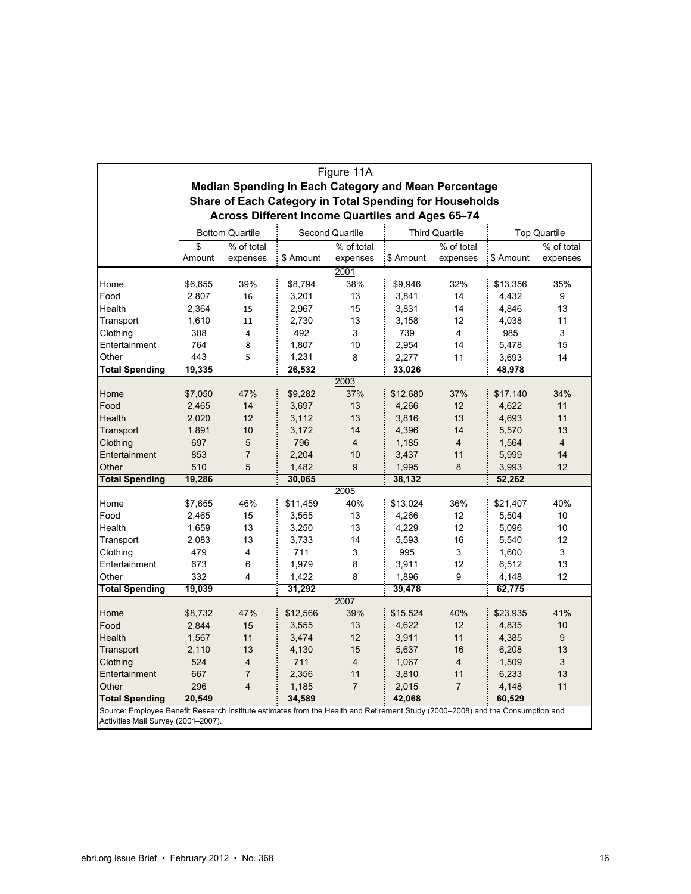|                                                                                                                                                                       |                                                         |                        |           | Figure 11A             |           |                       |           |                     |  |
|-----------------------------------------------------------------------------------------------------------------------------------------------------------------------|---------------------------------------------------------|------------------------|-----------|------------------------|-----------|-----------------------|-----------|---------------------|--|
|                                                                                                                                                                       | Median Spending in Each Category and Mean Percentage    |                        |           |                        |           |                       |           |                     |  |
|                                                                                                                                                                       | Share of Each Category in Total Spending for Households |                        |           |                        |           |                       |           |                     |  |
|                                                                                                                                                                       | Across Different Income Quartiles and Ages 65-74        |                        |           |                        |           |                       |           |                     |  |
|                                                                                                                                                                       |                                                         |                        |           |                        |           |                       |           |                     |  |
|                                                                                                                                                                       |                                                         | <b>Bottom Quartile</b> |           | <b>Second Quartile</b> |           | <b>Third Quartile</b> |           | <b>Top Quartile</b> |  |
|                                                                                                                                                                       | \$                                                      | % of total             |           | % of total             |           | % of total            |           | % of total          |  |
|                                                                                                                                                                       | Amount                                                  | expenses               | \$ Amount | expenses               | \$ Amount | expenses              | \$ Amount | expenses            |  |
|                                                                                                                                                                       |                                                         |                        |           | 2001                   |           |                       |           |                     |  |
| Home<br>Food                                                                                                                                                          | \$6,655                                                 | 39%                    | \$8,794   | 38%                    | \$9,946   | 32%<br>14             | \$13,356  | 35%<br>9            |  |
|                                                                                                                                                                       | 2,807                                                   | 16                     | 3,201     | 13                     | 3,841     |                       | 4,432     |                     |  |
| Health                                                                                                                                                                | 2,364                                                   | 15                     | 2,967     | 15                     | 3,831     | 14                    | 4,846     | 13                  |  |
| Transport                                                                                                                                                             | 1,610                                                   | 11                     | 2,730     | 13                     | 3,158     | 12                    | 4,038     | 11                  |  |
| Clothing                                                                                                                                                              | 308                                                     | 4                      | 492       | 3                      | 739       | 4                     | 985       | 3                   |  |
| Entertainment                                                                                                                                                         | 764                                                     | 8                      | 1,807     | 10                     | 2,954     | 14                    | 5,478     | 15                  |  |
| Other                                                                                                                                                                 | 443                                                     | 5                      | 1,231     | 8                      | 2,277     | 11                    | 3,693     | 14                  |  |
| <b>Total Spending</b>                                                                                                                                                 | 19,335                                                  |                        | 26,532    |                        | 33,026    |                       | 48,978    |                     |  |
|                                                                                                                                                                       |                                                         |                        |           | 2003                   |           |                       |           |                     |  |
| Home                                                                                                                                                                  | \$7,050                                                 | 47%                    | \$9,282   | 37%                    | \$12,680  | 37%                   | \$17,140  | 34%                 |  |
| Food                                                                                                                                                                  | 2,465                                                   | 14                     | 3,697     | 13                     | 4,266     | 12                    | 4,622     | 11                  |  |
| Health                                                                                                                                                                | 2,020                                                   | 12                     | 3,112     | 13                     | 3,816     | 13                    | 4,693     | 11                  |  |
| Transport                                                                                                                                                             | 1,891                                                   | 10                     | 3,172     | 14                     | 4,396     | 14                    | 5,570     | 13                  |  |
| Clothing                                                                                                                                                              | 697                                                     | 5                      | 796       | 4                      | 1,185     | 4                     | 1,564     | 4                   |  |
| Entertainment                                                                                                                                                         | 853                                                     | $\overline{7}$         | 2,204     | 10                     | 3,437     | 11                    | 5,999     | 14                  |  |
| Other                                                                                                                                                                 | 510                                                     | 5                      | 1,482     | 9                      | 1,995     | 8                     | 3,993     | 12                  |  |
| <b>Total Spending</b>                                                                                                                                                 | 19,286                                                  |                        | 30,065    |                        | 38,132    |                       | 52,262    |                     |  |
|                                                                                                                                                                       |                                                         |                        |           | 2005                   |           |                       |           |                     |  |
| Home                                                                                                                                                                  | \$7,655                                                 | 46%                    | \$11,459  | 40%                    | \$13,024  | 36%                   | \$21,407  | 40%                 |  |
| Food                                                                                                                                                                  | 2,465                                                   | 15                     | 3,555     | 13                     | 4,266     | 12                    | 5,504     | 10                  |  |
| Health                                                                                                                                                                | 1,659                                                   | 13                     | 3,250     | 13                     | 4,229     | 12                    | 5,096     | 10                  |  |
| Transport                                                                                                                                                             | 2,083                                                   | 13                     | 3,733     | 14                     | 5,593     | 16                    | 5,540     | 12                  |  |
| Clothing                                                                                                                                                              | 479                                                     | 4                      | 711       | 3                      | 995       | 3                     | 1,600     | 3                   |  |
| Entertainment                                                                                                                                                         | 673                                                     | 6                      | 1,979     | 8                      | 3,911     | 12                    | 6,512     | 13                  |  |
| Other                                                                                                                                                                 | 332                                                     | 4                      | 1,422     | 8                      | 1,896     | 9                     | 4,148     | 12                  |  |
| <b>Total Spending</b>                                                                                                                                                 | 19,039                                                  |                        | 31,292    |                        | 39,478    |                       | 62,775    |                     |  |
|                                                                                                                                                                       |                                                         |                        |           | 2007                   |           |                       |           |                     |  |
| Home                                                                                                                                                                  | \$8,732                                                 | 47%                    | \$12,566  | 39%                    | \$15,524  | 40%                   | \$23,935  | 41%                 |  |
| Food                                                                                                                                                                  | 2,844                                                   | 15                     | 3,555     | 13                     | 4,622     | 12                    | 4,835     | 10                  |  |
| Health                                                                                                                                                                | 1,567                                                   | 11                     | 3,474     | 12                     | 3,911     | 11                    | 4,385     | 9                   |  |
| Transport                                                                                                                                                             | 2,110                                                   | 13                     | 4,130     | 15                     | 5,637     | 16                    | 6,208     | 13                  |  |
| Clothing                                                                                                                                                              | 524                                                     | 4                      | 711       | $\overline{4}$         | 1,067     | 4                     | 1,509     | 3                   |  |
| Entertainment                                                                                                                                                         | 667                                                     | 7                      | 2,356     | 11                     | 3,810     | 11                    | 6,233     | 13                  |  |
| Other                                                                                                                                                                 | 296                                                     | 4                      | 1,185     | $\overline{7}$         | 2,015     | $\overline{7}$        | 4,148     | 11                  |  |
| <b>Total Spending</b>                                                                                                                                                 | 20,549                                                  |                        | 34,589    |                        | 42,068    |                       | 60,529    |                     |  |
|                                                                                                                                                                       |                                                         |                        |           |                        |           |                       |           |                     |  |
| Source: Employee Benefit Research Institute estimates from the Health and Retirement Study (2000–2008) and the Consumption and<br>Activities Mail Survey (2001-2007). |                                                         |                        |           |                        |           |                       |           |                     |  |

 $\mathsf{r}$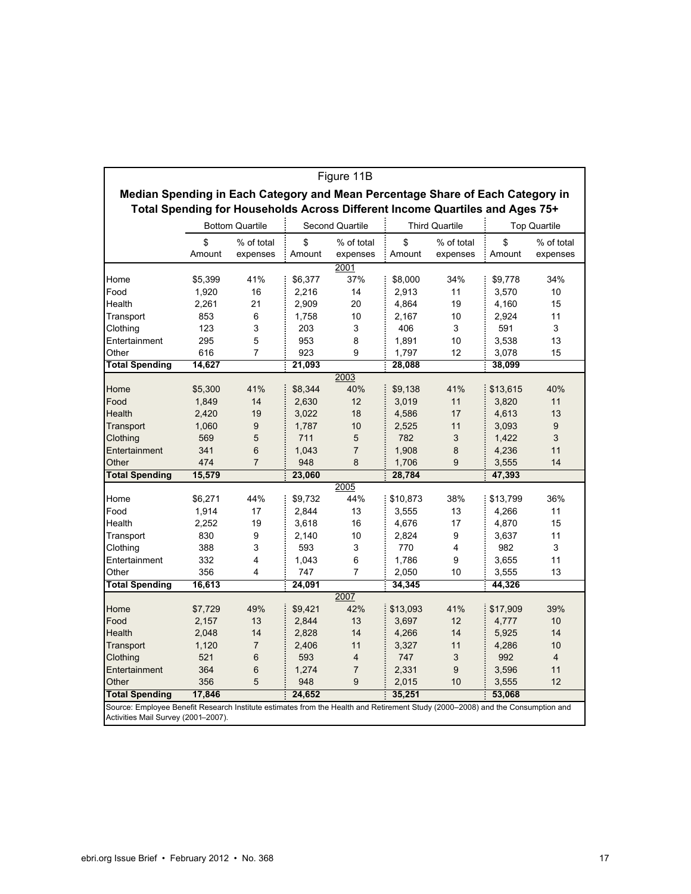| Figure 11B                                                                                                                     |                        |                        |                 |                        |                       |                        |                     |                        |  |
|--------------------------------------------------------------------------------------------------------------------------------|------------------------|------------------------|-----------------|------------------------|-----------------------|------------------------|---------------------|------------------------|--|
| Median Spending in Each Category and Mean Percentage Share of Each Category in                                                 |                        |                        |                 |                        |                       |                        |                     |                        |  |
| Total Spending for Households Across Different Income Quartiles and Ages 75+                                                   |                        |                        |                 |                        |                       |                        |                     |                        |  |
|                                                                                                                                | <b>Bottom Quartile</b> |                        | Second Quartile |                        | <b>Third Quartile</b> |                        | <b>Top Quartile</b> |                        |  |
|                                                                                                                                | \$<br>Amount           | % of total<br>expenses | \$<br>Amount    | % of total<br>expenses | \$<br>Amount          | % of total<br>expenses | \$<br>Amount        | % of total<br>expenses |  |
| 2001                                                                                                                           |                        |                        |                 |                        |                       |                        |                     |                        |  |
| Home                                                                                                                           | \$5,399                | 41%                    | \$6,377         | 37%                    | \$8,000               | 34%                    | \$9,778             | 34%                    |  |
| Food                                                                                                                           | 1,920                  | 16                     | 2,216           | 14                     | 2,913                 | 11                     | 3,570               | 10                     |  |
| Health                                                                                                                         | 2,261                  | 21                     | 2,909           | 20                     | 4,864                 | 19                     | 4,160               | 15                     |  |
| Transport                                                                                                                      | 853                    | 6                      | 1,758           | 10                     | 2,167                 | 10                     | 2,924               | 11                     |  |
| Clothing                                                                                                                       | 123                    | 3                      | 203             | 3                      | 406                   | 3                      | 591                 | 3                      |  |
| Entertainment                                                                                                                  | 295                    | 5                      | 953             | 8                      | 1,891                 | 10                     | 3,538               | 13                     |  |
| Other                                                                                                                          | 616                    | 7                      | 923             | 9                      | 1,797                 | 12                     | 3,078               | 15                     |  |
| <b>Total Spending</b>                                                                                                          | 14,627                 |                        | 21,093          |                        | 28,088                |                        | 38,099              |                        |  |
|                                                                                                                                |                        |                        |                 | 2003                   |                       |                        |                     |                        |  |
| Home                                                                                                                           | \$5,300                | 41%                    | \$8,344         | 40%                    | \$9,138               | 41%                    | \$13,615            | 40%                    |  |
| Food                                                                                                                           | 1,849                  | 14                     | 2,630           | 12                     | 3,019                 | 11                     | 3,820               | 11                     |  |
| Health                                                                                                                         | 2,420                  | 19                     | 3,022           | 18                     | 4,586                 | 17                     | 4,613               | 13                     |  |
| Transport                                                                                                                      | 1,060                  | 9                      | 1,787           | 10                     | 2,525                 | 11                     | 3,093               | 9                      |  |
| Clothing                                                                                                                       | 569                    | 5                      | 711             | 5                      | 782                   | 3                      | 1,422               | 3                      |  |
| Entertainment                                                                                                                  | 341                    | 6                      | 1,043           | $\overline{7}$         | 1,908                 | 8                      | 4,236               | 11                     |  |
| Other                                                                                                                          | 474                    | $\overline{7}$         | 948             | 8                      | 1,706                 | 9                      | 3,555               | 14                     |  |
| <b>Total Spending</b>                                                                                                          | 15,579                 |                        | 23,060          |                        | 28,784                |                        | 47,393              |                        |  |
|                                                                                                                                |                        |                        |                 | 2005                   |                       |                        |                     |                        |  |
| Home                                                                                                                           | \$6,271                | 44%                    | \$9,732         | 44%                    | \$10,873              | 38%                    | \$13,799            | 36%                    |  |
| Food                                                                                                                           | 1,914                  | 17                     | 2,844           | 13                     | 3,555                 | 13                     | 4,266               | 11                     |  |
| Health                                                                                                                         | 2,252                  | 19                     | 3,618           | 16                     | 4,676                 | 17                     | 4,870               | 15                     |  |
| Transport                                                                                                                      | 830                    | 9                      | 2,140           | 10                     | 2,824                 | 9                      | 3,637               | 11                     |  |
| Clothing                                                                                                                       | 388                    | 3                      | 593             | 3                      | 770                   | 4                      | 982                 | 3                      |  |
| Entertainment                                                                                                                  | 332                    | 4                      | 1,043           | 6                      | 1,786                 | 9                      | 3,655               | 11                     |  |
| Other                                                                                                                          | 356                    | 4                      | 747             | $\overline{7}$         | 2,050                 | 10                     | 3,555               | 13                     |  |
| <b>Total Spending</b>                                                                                                          | 16,613                 |                        | 24,091          |                        | 34,345                |                        | 44,326              |                        |  |
|                                                                                                                                |                        |                        |                 | 2007                   |                       |                        |                     |                        |  |
| Home                                                                                                                           | \$7,729                | 49%                    | \$9,421         | 42%                    | \$13,093              | 41%                    | \$17,909            | 39%                    |  |
| Food                                                                                                                           | 2,157                  | 13                     | 2,844           | 13                     | 3,697                 | 12                     | 4,777               | 10                     |  |
| Health                                                                                                                         | 2,048                  | 14                     | 2,828           | 14                     | 4,266                 | 14                     | 5,925               | 14                     |  |
| Transport                                                                                                                      | 1,120                  | $\overline{7}$         | 2,406           | 11                     | 3,327                 | 11                     | 4,286               | 10                     |  |
| Clothing                                                                                                                       | 521                    | 6                      | 593             | $\overline{4}$         | 747                   | 3                      | 992                 | $\overline{4}$         |  |
| Entertainment                                                                                                                  | 364                    | 6                      | 1,274           | $\overline{7}$         | 2,331                 | 9                      | 3,596               | 11                     |  |
| Other                                                                                                                          | 356                    | 5                      | 948             | 9                      | 2,015                 | 10                     | 3,555               | 12                     |  |
| <b>Total Spending</b>                                                                                                          | 17,846                 |                        | 24,652          |                        | 35,251                |                        | 53,068              |                        |  |
| Source: Employee Benefit Research Institute estimates from the Health and Retirement Study (2000–2008) and the Consumption and |                        |                        |                 |                        |                       |                        |                     |                        |  |
| Activities Mail Survey (2001-2007).                                                                                            |                        |                        |                 |                        |                       |                        |                     |                        |  |

Activities Mail Survey (2001-2007).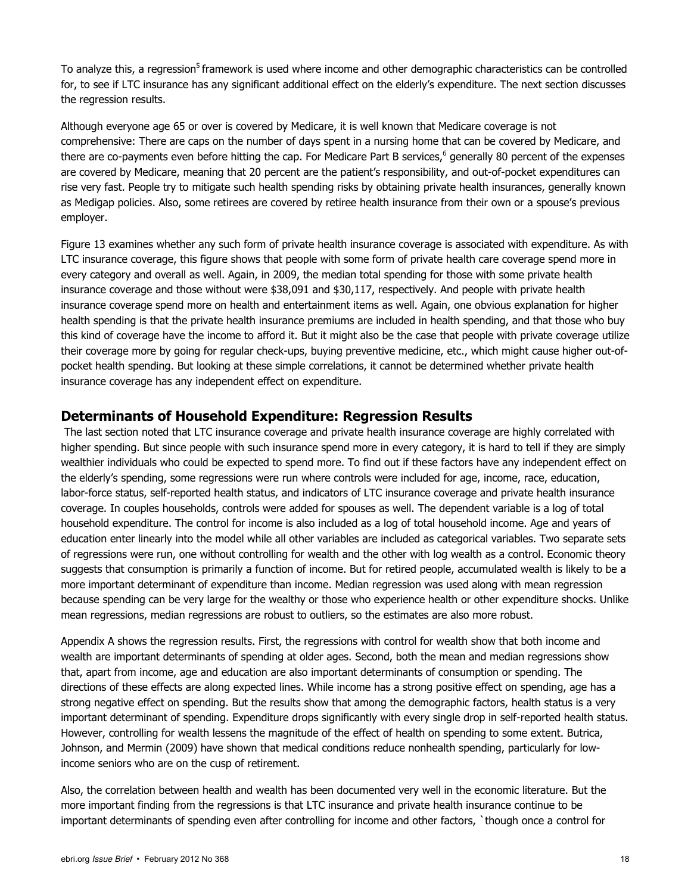To analyze this, a regression<sup>5</sup> framework is used where income and other demographic characteristics can be controlled for, to see if LTC insurance has any significant additional effect on the elderly's expenditure. The next section discusses the regression results.

Although everyone age 65 or over is covered by Medicare, it is well known that Medicare coverage is not comprehensive: There are caps on the number of days spent in a nursing home that can be covered by Medicare, and there are co-payments even before hitting the cap. For Medicare Part B services,<sup>6</sup> generally 80 percent of the expenses are covered by Medicare, meaning that 20 percent are the patient's responsibility, and out-of-pocket expenditures can rise very fast. People try to mitigate such health spending risks by obtaining private health insurances, generally known as Medigap policies. Also, some retirees are covered by retiree health insurance from their own or a spouse's previous employer.

Figure 13 examines whether any such form of private health insurance coverage is associated with expenditure. As with LTC insurance coverage, this figure shows that people with some form of private health care coverage spend more in every category and overall as well. Again, in 2009, the median total spending for those with some private health insurance coverage and those without were \$38,091 and \$30,117, respectively. And people with private health insurance coverage spend more on health and entertainment items as well. Again, one obvious explanation for higher health spending is that the private health insurance premiums are included in health spending, and that those who buy this kind of coverage have the income to afford it. But it might also be the case that people with private coverage utilize their coverage more by going for regular check-ups, buying preventive medicine, etc., which might cause higher out-ofpocket health spending. But looking at these simple correlations, it cannot be determined whether private health insurance coverage has any independent effect on expenditure.

#### **Determinants of Household Expenditure: Regression Results**

 The last section noted that LTC insurance coverage and private health insurance coverage are highly correlated with higher spending. But since people with such insurance spend more in every category, it is hard to tell if they are simply wealthier individuals who could be expected to spend more. To find out if these factors have any independent effect on the elderly's spending, some regressions were run where controls were included for age, income, race, education, labor-force status, self-reported health status, and indicators of LTC insurance coverage and private health insurance coverage. In couples households, controls were added for spouses as well. The dependent variable is a log of total household expenditure. The control for income is also included as a log of total household income. Age and years of education enter linearly into the model while all other variables are included as categorical variables. Two separate sets of regressions were run, one without controlling for wealth and the other with log wealth as a control. Economic theory suggests that consumption is primarily a function of income. But for retired people, accumulated wealth is likely to be a more important determinant of expenditure than income. Median regression was used along with mean regression because spending can be very large for the wealthy or those who experience health or other expenditure shocks. Unlike mean regressions, median regressions are robust to outliers, so the estimates are also more robust.

Appendix A shows the regression results. First, the regressions with control for wealth show that both income and wealth are important determinants of spending at older ages. Second, both the mean and median regressions show that, apart from income, age and education are also important determinants of consumption or spending. The directions of these effects are along expected lines. While income has a strong positive effect on spending, age has a strong negative effect on spending. But the results show that among the demographic factors, health status is a very important determinant of spending. Expenditure drops significantly with every single drop in self-reported health status. However, controlling for wealth lessens the magnitude of the effect of health on spending to some extent. Butrica, Johnson, and Mermin (2009) have shown that medical conditions reduce nonhealth spending, particularly for lowincome seniors who are on the cusp of retirement.

Also, the correlation between health and wealth has been documented very well in the economic literature. But the more important finding from the regressions is that LTC insurance and private health insurance continue to be important determinants of spending even after controlling for income and other factors, `though once a control for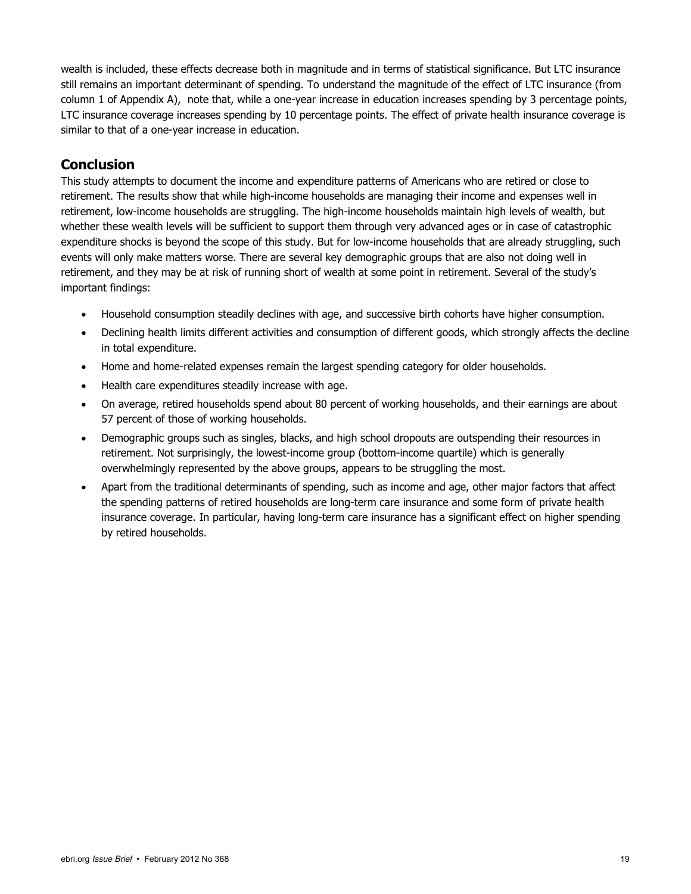wealth is included, these effects decrease both in magnitude and in terms of statistical significance. But LTC insurance still remains an important determinant of spending. To understand the magnitude of the effect of LTC insurance (from column 1 of Appendix A), note that, while a one-year increase in education increases spending by 3 percentage points, LTC insurance coverage increases spending by 10 percentage points. The effect of private health insurance coverage is similar to that of a one-year increase in education.

#### **Conclusion**

This study attempts to document the income and expenditure patterns of Americans who are retired or close to retirement. The results show that while high-income households are managing their income and expenses well in retirement, low-income households are struggling. The high-income households maintain high levels of wealth, but whether these wealth levels will be sufficient to support them through very advanced ages or in case of catastrophic expenditure shocks is beyond the scope of this study. But for low-income households that are already struggling, such events will only make matters worse. There are several key demographic groups that are also not doing well in retirement, and they may be at risk of running short of wealth at some point in retirement. Several of the study's important findings:

- Household consumption steadily declines with age, and successive birth cohorts have higher consumption.
- Declining health limits different activities and consumption of different goods, which strongly affects the decline in total expenditure.
- Home and home-related expenses remain the largest spending category for older households.
- Health care expenditures steadily increase with age.
- On average, retired households spend about 80 percent of working households, and their earnings are about 57 percent of those of working households.
- Demographic groups such as singles, blacks, and high school dropouts are outspending their resources in retirement. Not surprisingly, the lowest-income group (bottom-income quartile) which is generally overwhelmingly represented by the above groups, appears to be struggling the most.
- Apart from the traditional determinants of spending, such as income and age, other major factors that affect the spending patterns of retired households are long-term care insurance and some form of private health insurance coverage. In particular, having long-term care insurance has a significant effect on higher spending by retired households.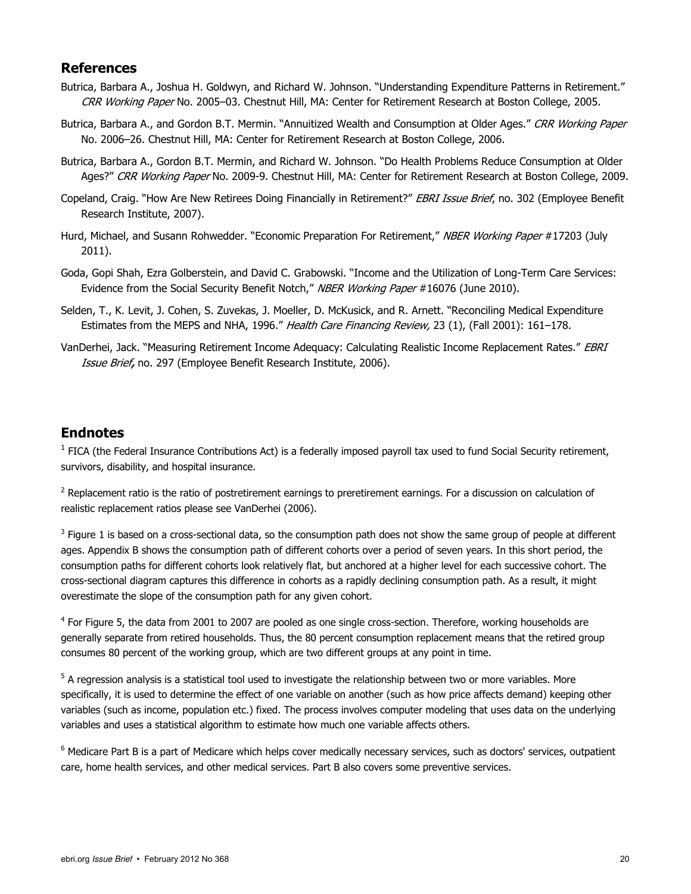#### **References**

- Butrica, Barbara A., Joshua H. Goldwyn, and Richard W. Johnson. "Understanding Expenditure Patterns in Retirement." CRR Working Paper No. 2005-03. Chestnut Hill, MA: Center for Retirement Research at Boston College, 2005.
- Butrica, Barbara A., and Gordon B.T. Mermin. "Annuitized Wealth and Consumption at Older Ages." CRR Working Paper No. 2006–26. Chestnut Hill, MA: Center for Retirement Research at Boston College, 2006.
- Butrica, Barbara A., Gordon B.T. Mermin, and Richard W. Johnson. "Do Health Problems Reduce Consumption at Older Ages?" CRR Working Paper No. 2009-9. Chestnut Hill, MA: Center for Retirement Research at Boston College, 2009.
- Copeland, Craig. "How Are New Retirees Doing Financially in Retirement?" EBRI Issue Brief, no. 302 (Employee Benefit Research Institute, 2007).
- Hurd, Michael, and Susann Rohwedder. "Economic Preparation For Retirement," NBER Working Paper #17203 (July 2011).
- Goda, Gopi Shah, Ezra Golberstein, and David C. Grabowski. "Income and the Utilization of Long-Term Care Services: Evidence from the Social Security Benefit Notch," NBER Working Paper #16076 (June 2010).
- Selden, T., K. Levit, J. Cohen, S. Zuvekas, J. Moeller, D. McKusick, and R. Arnett. "Reconciling Medical Expenditure Estimates from the MEPS and NHA, 1996." Health Care Financing Review, 23 (1), (Fall 2001): 161-178.
- VanDerhei, Jack. "Measuring Retirement Income Adequacy: Calculating Realistic Income Replacement Rates." EBRI Issue Brief**,** no. 297 (Employee Benefit Research Institute, 2006).

#### **Endnotes**

 $1$  FICA (the Federal Insurance Contributions Act) is a federally imposed payroll tax used to fund Social Security retirement, survivors, disability, and hospital insurance.

<sup>2</sup> Replacement ratio is the ratio of postretirement earnings to preretirement earnings. For a discussion on calculation of realistic replacement ratios please see VanDerhei (2006).

 $3$  Figure 1 is based on a cross-sectional data, so the consumption path does not show the same group of people at different ages. Appendix B shows the consumption path of different cohorts over a period of seven years. In this short period, the consumption paths for different cohorts look relatively flat, but anchored at a higher level for each successive cohort. The cross-sectional diagram captures this difference in cohorts as a rapidly declining consumption path. As a result, it might overestimate the slope of the consumption path for any given cohort.

<sup>4</sup> For Figure 5, the data from 2001 to 2007 are pooled as one single cross-section. Therefore, working households are generally separate from retired households. Thus, the 80 percent consumption replacement means that the retired group consumes 80 percent of the working group, which are two different groups at any point in time.

 $^5$  A regression analysis is a statistical tool used to investigate the relationship between two or more variables. More specifically, it is used to determine the effect of one variable on another (such as how price affects demand) keeping other variables (such as income, population etc.) fixed. The process involves computer modeling that uses data on the underlying variables and uses a statistical algorithm to estimate how much one variable affects others.

<sup>6</sup> Medicare Part B is a part of Medicare which helps cover medically necessary services, such as doctors' services, outpatient care, home health services, and other medical services. Part B also covers some preventive services.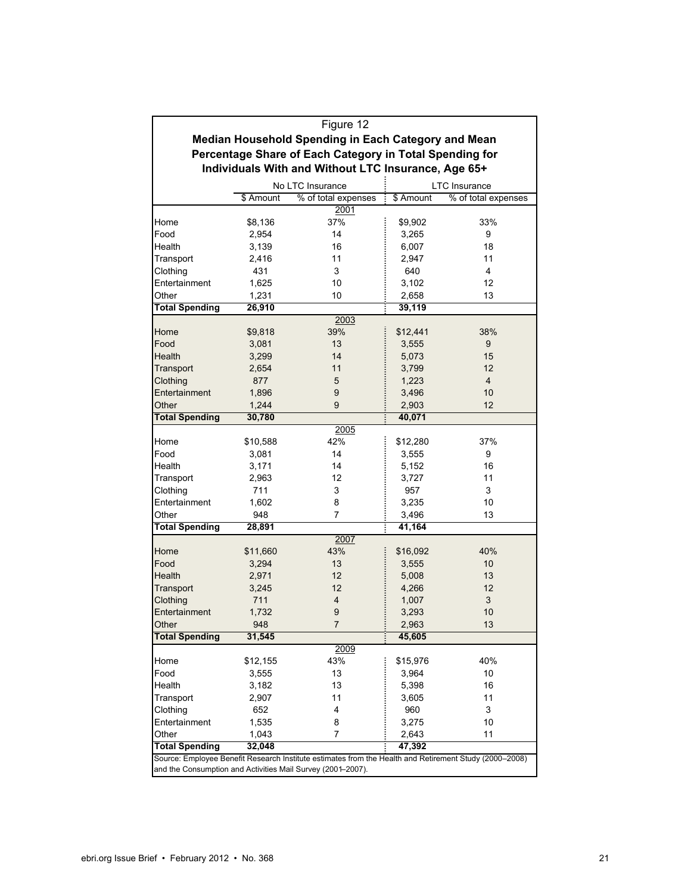|                                                             | Figure 12                                                            |                                                                                                        |          |                |  |  |  |  |  |
|-------------------------------------------------------------|----------------------------------------------------------------------|--------------------------------------------------------------------------------------------------------|----------|----------------|--|--|--|--|--|
|                                                             |                                                                      | Median Household Spending in Each Category and Mean                                                    |          |                |  |  |  |  |  |
|                                                             |                                                                      |                                                                                                        |          |                |  |  |  |  |  |
|                                                             | Percentage Share of Each Category in Total Spending for              |                                                                                                        |          |                |  |  |  |  |  |
| Individuals With and Without LTC Insurance, Age 65+         |                                                                      |                                                                                                        |          |                |  |  |  |  |  |
| No LTC Insurance<br><b>LTC</b> Insurance                    |                                                                      |                                                                                                        |          |                |  |  |  |  |  |
|                                                             | % of total expenses<br>\$ Amount<br>\$ Amount<br>% of total expenses |                                                                                                        |          |                |  |  |  |  |  |
|                                                             |                                                                      | 2001                                                                                                   |          |                |  |  |  |  |  |
| Home                                                        | \$8,136                                                              | 37%                                                                                                    | \$9,902  | 33%            |  |  |  |  |  |
| Food                                                        | 2,954                                                                | 14                                                                                                     | 3.265    | 9              |  |  |  |  |  |
| Health                                                      | 3,139                                                                | 16                                                                                                     | 6,007    | 18             |  |  |  |  |  |
| Transport                                                   | 2,416                                                                | 11                                                                                                     | 2,947    | 11             |  |  |  |  |  |
| Clothing                                                    | 431                                                                  | 3                                                                                                      | 640      | 4              |  |  |  |  |  |
| Entertainment                                               | 1,625                                                                | 10                                                                                                     | 3,102    | 12             |  |  |  |  |  |
| Other                                                       | 1,231                                                                | 10                                                                                                     | 2,658    | 13             |  |  |  |  |  |
| <b>Total Spending</b>                                       | 26,910                                                               |                                                                                                        | 39,119   |                |  |  |  |  |  |
|                                                             |                                                                      | 2003                                                                                                   |          |                |  |  |  |  |  |
| Home                                                        | \$9,818                                                              | 39%                                                                                                    | \$12,441 | 38%            |  |  |  |  |  |
| Food                                                        | 3,081                                                                | 13                                                                                                     | 3,555    | 9              |  |  |  |  |  |
| <b>Health</b>                                               | 3,299                                                                | 14                                                                                                     | 5,073    | 15             |  |  |  |  |  |
| Transport                                                   | 2,654                                                                | 11                                                                                                     | 3,799    | 12             |  |  |  |  |  |
| Clothing                                                    | 877                                                                  | 5                                                                                                      | 1,223    | $\overline{4}$ |  |  |  |  |  |
| Entertainment                                               | 1,896                                                                | 9                                                                                                      | 3,496    | 10             |  |  |  |  |  |
| Other                                                       | 1,244                                                                | 9                                                                                                      | 2,903    | 12             |  |  |  |  |  |
| <b>Total Spending</b>                                       | 30,780<br>40,071                                                     |                                                                                                        |          |                |  |  |  |  |  |
| 2005                                                        |                                                                      |                                                                                                        |          |                |  |  |  |  |  |
| Home                                                        | \$10,588                                                             | 42%                                                                                                    | \$12,280 | 37%            |  |  |  |  |  |
| Food                                                        | 3,081                                                                | 14                                                                                                     | 3,555    | 9              |  |  |  |  |  |
| Health                                                      | 3,171                                                                | 14                                                                                                     | 5,152    | 16             |  |  |  |  |  |
| Transport                                                   | 2,963                                                                | 12                                                                                                     | 3,727    | 11             |  |  |  |  |  |
| Clothing                                                    | 711                                                                  | 3                                                                                                      | 957      | 3              |  |  |  |  |  |
| Entertainment                                               | 1,602                                                                | 8                                                                                                      | 3,235    | 10             |  |  |  |  |  |
| Other                                                       | 948                                                                  | 7                                                                                                      | 3,496    | 13             |  |  |  |  |  |
| <b>Total Spending</b>                                       | 28,891                                                               |                                                                                                        | 41,164   |                |  |  |  |  |  |
|                                                             |                                                                      | 2007                                                                                                   |          |                |  |  |  |  |  |
| 40%<br>Home<br>\$11,660<br>43%<br>\$16,092                  |                                                                      |                                                                                                        |          |                |  |  |  |  |  |
| Food                                                        | 3,294                                                                | 13                                                                                                     | 3,555    | 10             |  |  |  |  |  |
| Health                                                      | 2,971                                                                | 12                                                                                                     | 5,008    | 13             |  |  |  |  |  |
| Transport                                                   | 3,245                                                                | 12                                                                                                     | 4,266    | 12             |  |  |  |  |  |
|                                                             | 711                                                                  | 4                                                                                                      |          | 3              |  |  |  |  |  |
| Clothing                                                    |                                                                      | 9                                                                                                      | 1,007    | 10             |  |  |  |  |  |
| Entertainment                                               | 1,732                                                                |                                                                                                        | 3,293    |                |  |  |  |  |  |
| Other                                                       | 948                                                                  | 7                                                                                                      | 2,963    | 13             |  |  |  |  |  |
| <b>Total Spending</b>                                       | 31,545                                                               |                                                                                                        | 45,605   |                |  |  |  |  |  |
|                                                             |                                                                      | 2009                                                                                                   |          |                |  |  |  |  |  |
| Home                                                        | \$12,155                                                             | 43%                                                                                                    | \$15,976 | 40%            |  |  |  |  |  |
| Food                                                        | 3,555                                                                | 13                                                                                                     | 3,964    | 10             |  |  |  |  |  |
| Health                                                      | 3,182                                                                | 13                                                                                                     | 5,398    | 16             |  |  |  |  |  |
| Transport                                                   | 2,907                                                                | 11                                                                                                     | 3,605    | 11             |  |  |  |  |  |
| Clothing                                                    | 652                                                                  | 4                                                                                                      | 960      | 3              |  |  |  |  |  |
| Entertainment                                               | 1,535                                                                | 8                                                                                                      | 3,275    | 10             |  |  |  |  |  |
| Other                                                       | 1,043                                                                | 7                                                                                                      | 2,643    | 11             |  |  |  |  |  |
| <b>Total Spending</b>                                       | 32,048                                                               |                                                                                                        | 47,392   |                |  |  |  |  |  |
|                                                             |                                                                      | Source: Employee Benefit Research Institute estimates from the Health and Retirement Study (2000-2008) |          |                |  |  |  |  |  |
| and the Consumption and Activities Mail Survey (2001-2007). |                                                                      |                                                                                                        |          |                |  |  |  |  |  |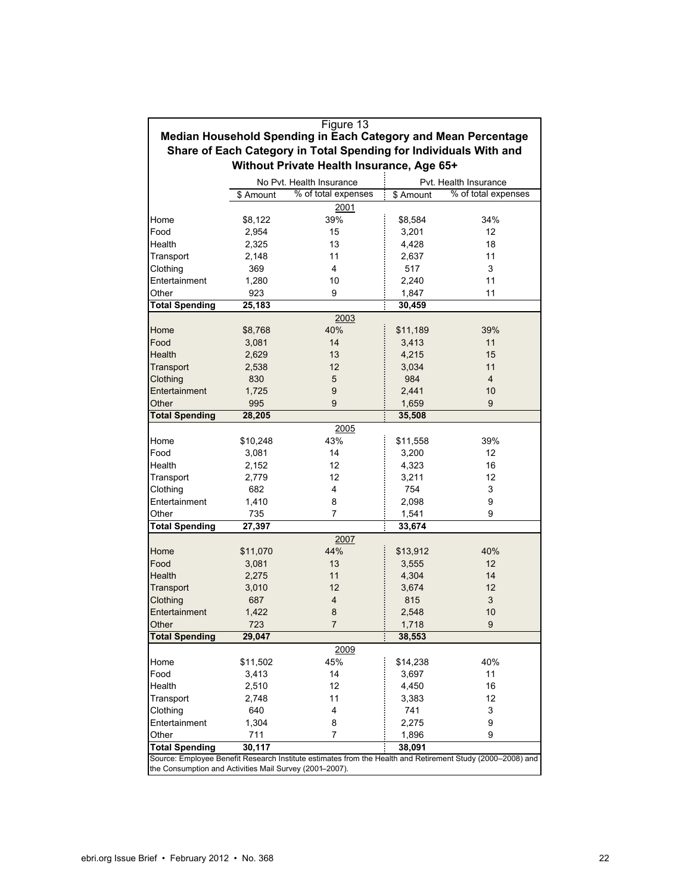|                                                         | Figure 13                                                         |                                                                                                            |                        |                     |  |  |  |  |  |  |
|---------------------------------------------------------|-------------------------------------------------------------------|------------------------------------------------------------------------------------------------------------|------------------------|---------------------|--|--|--|--|--|--|
|                                                         |                                                                   | Median Household Spending in Each Category and Mean Percentage                                             |                        |                     |  |  |  |  |  |  |
|                                                         | Share of Each Category in Total Spending for Individuals With and |                                                                                                            |                        |                     |  |  |  |  |  |  |
| Without Private Health Insurance, Age 65+               |                                                                   |                                                                                                            |                        |                     |  |  |  |  |  |  |
|                                                         |                                                                   |                                                                                                            |                        |                     |  |  |  |  |  |  |
|                                                         |                                                                   | No Pvt. Health Insurance                                                                                   | Pvt. Health Insurance  |                     |  |  |  |  |  |  |
|                                                         | \$ Amount                                                         | % of total expenses                                                                                        | $\overline{\$}$ Amount | % of total expenses |  |  |  |  |  |  |
|                                                         |                                                                   | 2001                                                                                                       |                        |                     |  |  |  |  |  |  |
| Home                                                    | \$8,122                                                           | 39%                                                                                                        | \$8,584                | 34%                 |  |  |  |  |  |  |
| Food                                                    | 2,954                                                             | 15                                                                                                         | 3,201                  | 12                  |  |  |  |  |  |  |
| Health                                                  | 2,325                                                             | 13                                                                                                         | 4,428                  | 18                  |  |  |  |  |  |  |
| Transport                                               | 2,148                                                             | 11                                                                                                         | 2,637                  | 11                  |  |  |  |  |  |  |
| Clothing                                                | 369                                                               | 4                                                                                                          | 517                    | 3                   |  |  |  |  |  |  |
| Entertainment                                           | 1,280                                                             | 10                                                                                                         | 2,240                  | 11                  |  |  |  |  |  |  |
| Other                                                   | 923                                                               | 9                                                                                                          | 1,847                  | 11                  |  |  |  |  |  |  |
| <b>Total Spending</b>                                   | 25,183                                                            |                                                                                                            | 30,459                 |                     |  |  |  |  |  |  |
|                                                         |                                                                   | 2003                                                                                                       |                        |                     |  |  |  |  |  |  |
| Home                                                    | \$8,768                                                           | 40%                                                                                                        | \$11,189               | 39%                 |  |  |  |  |  |  |
| Food                                                    | 3,081                                                             | 14                                                                                                         | 3,413                  | 11                  |  |  |  |  |  |  |
| Health                                                  | 2,629                                                             | 13                                                                                                         | 4,215                  | 15                  |  |  |  |  |  |  |
| Transport                                               | 2,538                                                             | 12                                                                                                         | 3,034                  | 11                  |  |  |  |  |  |  |
| Clothing                                                | 830                                                               | 5                                                                                                          | 984                    | $\overline{4}$      |  |  |  |  |  |  |
| Entertainment                                           | 1,725                                                             | 9                                                                                                          | 2,441                  | 10                  |  |  |  |  |  |  |
|                                                         |                                                                   |                                                                                                            |                        |                     |  |  |  |  |  |  |
| Other                                                   | 995                                                               | 9                                                                                                          | 1,659                  | 9                   |  |  |  |  |  |  |
|                                                         | <b>Total Spending</b><br>28,205<br>35,508                         |                                                                                                            |                        |                     |  |  |  |  |  |  |
|                                                         |                                                                   | 2005                                                                                                       |                        |                     |  |  |  |  |  |  |
| Home                                                    | \$10,248                                                          | 43%                                                                                                        | \$11,558               | 39%                 |  |  |  |  |  |  |
| Food                                                    | 3,081                                                             | 14                                                                                                         | 3,200                  | 12 <sup>2</sup>     |  |  |  |  |  |  |
| Health                                                  | 2,152                                                             | 12                                                                                                         | 4,323                  | 16                  |  |  |  |  |  |  |
| Transport                                               | 2,779                                                             | 12                                                                                                         | 3,211                  | 12                  |  |  |  |  |  |  |
| Clothing                                                | 682                                                               | 4                                                                                                          | 754                    | 3                   |  |  |  |  |  |  |
| Entertainment                                           | 1,410                                                             | 8                                                                                                          | 2,098                  | 9                   |  |  |  |  |  |  |
| Other                                                   | 735                                                               | 7                                                                                                          | 1,541                  | 9                   |  |  |  |  |  |  |
| <b>Total Spending</b>                                   | 27,397                                                            |                                                                                                            | 33,674                 |                     |  |  |  |  |  |  |
|                                                         |                                                                   | 2007                                                                                                       |                        |                     |  |  |  |  |  |  |
| Home                                                    | \$11,070                                                          | 44%                                                                                                        | \$13,912               | 40%                 |  |  |  |  |  |  |
| Food                                                    | 3,081                                                             | 13                                                                                                         | 3,555                  | 12                  |  |  |  |  |  |  |
| Health                                                  | 2,275                                                             | 11                                                                                                         | 4,304                  | 14                  |  |  |  |  |  |  |
| Transport                                               | 3,010                                                             | 12                                                                                                         | 3,674                  | 12                  |  |  |  |  |  |  |
| Clothing                                                | 687                                                               | 4                                                                                                          | 815                    | 3                   |  |  |  |  |  |  |
| Entertainment                                           | 1,422                                                             | 8                                                                                                          | 2,548                  | 10                  |  |  |  |  |  |  |
| Other                                                   | 723                                                               | $\overline{7}$                                                                                             | 1,718                  | $\boldsymbol{9}$    |  |  |  |  |  |  |
|                                                         |                                                                   |                                                                                                            |                        |                     |  |  |  |  |  |  |
| <b>Total Spending</b>                                   | 29,047                                                            |                                                                                                            | 38,553                 |                     |  |  |  |  |  |  |
|                                                         |                                                                   | 2009                                                                                                       |                        |                     |  |  |  |  |  |  |
| Home                                                    | \$11,502                                                          | 45%                                                                                                        | \$14,238               | 40%                 |  |  |  |  |  |  |
| Food                                                    | 3,413                                                             | 14                                                                                                         | 3,697                  | 11                  |  |  |  |  |  |  |
| Health                                                  | 2,510                                                             | 12                                                                                                         | 4,450                  | 16                  |  |  |  |  |  |  |
| Transport                                               | 2,748                                                             | 11                                                                                                         | 3,383                  | 12                  |  |  |  |  |  |  |
| Clothing                                                | 640                                                               | 4                                                                                                          | 741                    | 3                   |  |  |  |  |  |  |
| Entertainment                                           | 1,304                                                             | 8                                                                                                          | 2,275                  | 9                   |  |  |  |  |  |  |
| Other                                                   | 711                                                               | 7                                                                                                          | 1,896                  | 9                   |  |  |  |  |  |  |
| <b>Total Spending</b>                                   | 30,117                                                            |                                                                                                            | 38,091                 |                     |  |  |  |  |  |  |
|                                                         |                                                                   | Source: Employee Benefit Research Institute estimates from the Health and Retirement Study (2000-2008) and |                        |                     |  |  |  |  |  |  |
| the Consumption and Activities Mail Survey (2001-2007). |                                                                   |                                                                                                            |                        |                     |  |  |  |  |  |  |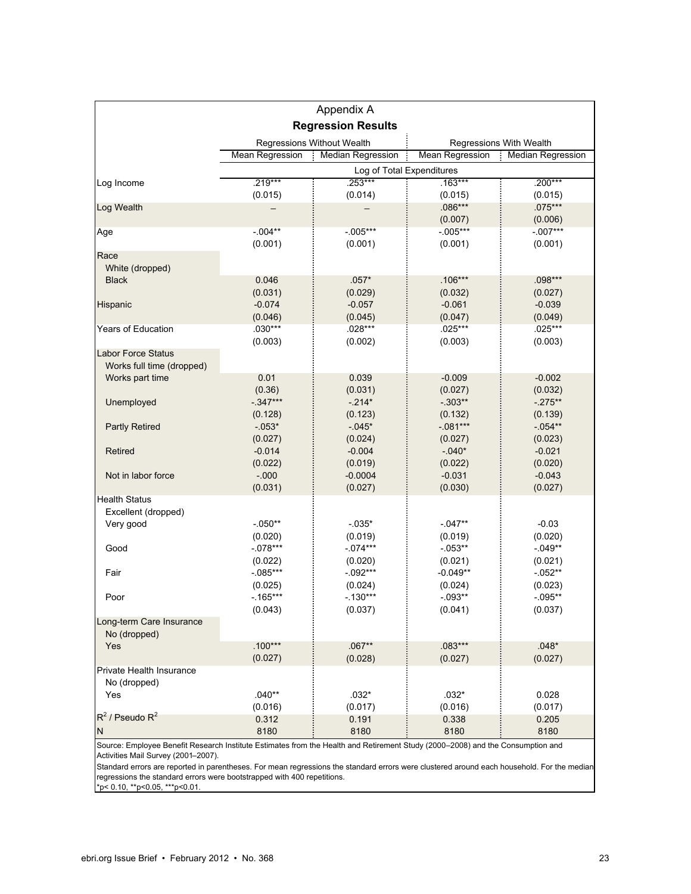|                                          |                           | Appendix A                 |                         |                          |  |  |
|------------------------------------------|---------------------------|----------------------------|-------------------------|--------------------------|--|--|
|                                          |                           | <b>Regression Results</b>  |                         |                          |  |  |
|                                          |                           | Regressions Without Wealth | Regressions With Wealth |                          |  |  |
|                                          | Mean Regression           | <b>Median Regression</b>   | <b>Mean Regression</b>  | <b>Median Regression</b> |  |  |
|                                          | Log of Total Expenditures |                            |                         |                          |  |  |
| Log Income                               | .219***                   | $.253***$                  | $.163***$               | $.200***$                |  |  |
|                                          | (0.015)                   | (0.014)                    | (0.015)                 | (0.015)                  |  |  |
| Log Wealth                               |                           |                            | $.086***$               | $.075***$                |  |  |
|                                          | $-0.04**$                 | $-0.05***$                 | (0.007)<br>$-0.05***$   | (0.006)<br>$-.007***$    |  |  |
| Age                                      | (0.001)                   | (0.001)                    | (0.001)                 | (0.001)                  |  |  |
| Race                                     |                           |                            |                         |                          |  |  |
| White (dropped)                          |                           |                            |                         |                          |  |  |
| <b>Black</b>                             | 0.046                     | $.057*$                    | $.106***$               | $.098***$                |  |  |
|                                          | (0.031)                   | (0.029)                    | (0.032)                 | (0.027)                  |  |  |
| Hispanic                                 | $-0.074$                  | $-0.057$                   | $-0.061$                | $-0.039$                 |  |  |
|                                          | (0.046)                   | (0.045)                    | (0.047)                 | (0.049)                  |  |  |
| <b>Years of Education</b>                | $.030***$                 | .028***                    | .025***                 | .025***                  |  |  |
|                                          | (0.003)                   | (0.002)                    | (0.003)                 | (0.003)                  |  |  |
| <b>Labor Force Status</b>                |                           |                            |                         |                          |  |  |
| Works full time (dropped)                |                           |                            |                         |                          |  |  |
| Works part time                          | 0.01                      | 0.039                      | $-0.009$                | $-0.002$                 |  |  |
|                                          | (0.36)                    | (0.031)                    | (0.027)                 | (0.032)                  |  |  |
| Unemployed                               | $-0.347***$               | $-214*$                    | $-0.303**$              | $-275**$                 |  |  |
|                                          | (0.128)                   | (0.123)                    | (0.132)                 | (0.139)                  |  |  |
| <b>Partly Retired</b>                    | $-053*$                   | $-0.45*$                   | $-.081***$              | $-054**$                 |  |  |
|                                          | (0.027)                   | (0.024)                    | (0.027)                 | (0.023)                  |  |  |
| Retired                                  | $-0.014$                  | $-0.004$                   | $-0.040*$               | $-0.021$                 |  |  |
|                                          | (0.022)                   | (0.019)                    | (0.022)                 | (0.020)                  |  |  |
| Not in labor force                       | $-0.000$                  | $-0.0004$                  | $-0.031$                | $-0.043$                 |  |  |
|                                          | (0.031)                   | (0.027)                    | (0.030)                 | (0.027)                  |  |  |
| <b>Health Status</b>                     |                           |                            |                         |                          |  |  |
| Excellent (dropped)                      |                           |                            |                         |                          |  |  |
| Very good                                | $-050**$                  | $-035*$                    | $-047**$                | $-0.03$                  |  |  |
|                                          | (0.020)                   | (0.019)                    | (0.019)                 | (0.020)                  |  |  |
| Good                                     | $-078***$                 | $-074***$                  | $-0.053**$              | $-0.049**$               |  |  |
|                                          | (0.022)                   | (0.020)                    | (0.021)                 | (0.021)                  |  |  |
| Fair                                     | $-0.085***$               | $-0.092***$                | $-0.049**$              | $-052**$                 |  |  |
|                                          | (0.025)                   | (0.024)                    | (0.024)                 | (0.023)                  |  |  |
| Poor                                     | $-165***$                 | $-130***$                  | $-0.093**$              | $-0.095**$               |  |  |
|                                          | (0.043)                   | (0.037)                    | (0.041)                 | (0.037)                  |  |  |
| Long-term Care Insurance                 |                           |                            |                         |                          |  |  |
| No (dropped)                             |                           |                            |                         |                          |  |  |
| Yes                                      | $.100***$                 | $.067**$                   | $.083***$               | $.048*$                  |  |  |
|                                          | (0.027)                   | (0.028)                    | (0.027)                 | (0.027)                  |  |  |
| Private Health Insurance<br>No (dropped) |                           |                            |                         |                          |  |  |
| Yes                                      | $.040**$                  | $.032*$                    | $.032*$                 | 0.028                    |  |  |
|                                          | (0.016)                   | (0.017)                    | (0.016)                 | (0.017)                  |  |  |
| $R^2$ / Pseudo $R^2$                     | 0.312                     | 0.191                      | 0.338                   | 0.205                    |  |  |
| N                                        | 8180                      | 8180                       | 8180                    | 8180                     |  |  |

Source: Employee Benefit Research Institute Estimates from the Health and Retirement Study (2000–2008) and the Consumption and Activities Mail Survey (2001-2007).

Standard errors are reported in parentheses. For mean regressions the standard errors were clustered around each household. For the median regressions the standard errors were bootstrapped with 400 repetitions.

\*p< 0.10, \*\*p<0.05, \*\*\*p<0.01.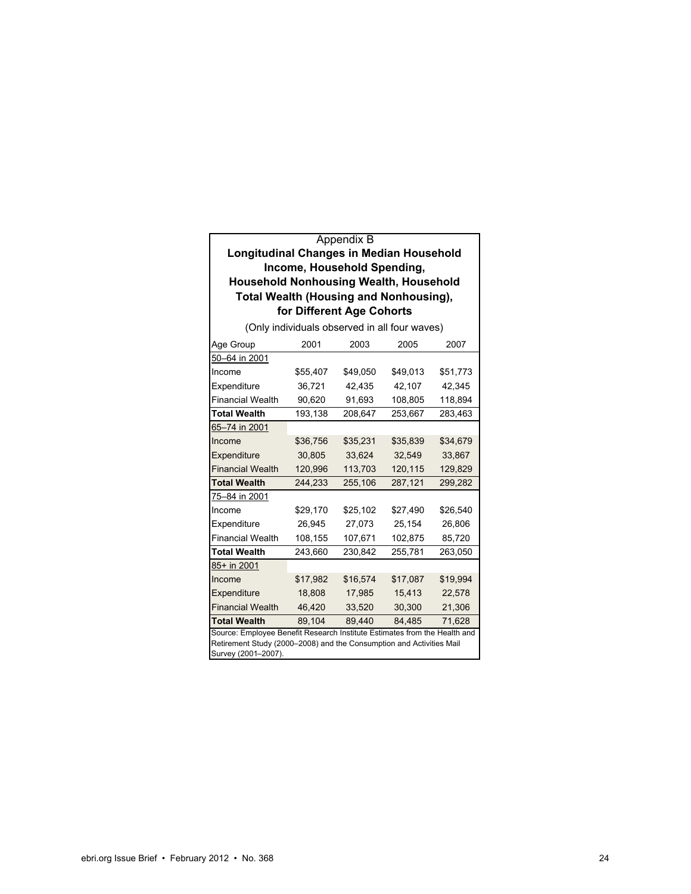#### Appendix B

#### **Longitudinal Changes in Median Household Income, Household Spending, Household Nonhousing Wealth, Household Total Wealth (Housing and Nonhousing), for Different Age Cohorts**

| Age Group                                                                                                                                                                | 2001     | 2003     | 2005     | 2007     |  |  |
|--------------------------------------------------------------------------------------------------------------------------------------------------------------------------|----------|----------|----------|----------|--|--|
| 50-64 in 2001                                                                                                                                                            |          |          |          |          |  |  |
| Income                                                                                                                                                                   | \$55,407 | \$49,050 | \$49,013 | \$51,773 |  |  |
| Expenditure                                                                                                                                                              | 36,721   | 42,435   | 42.107   | 42,345   |  |  |
| <b>Financial Wealth</b>                                                                                                                                                  | 90,620   | 91,693   | 108,805  | 118,894  |  |  |
| <b>Total Wealth</b>                                                                                                                                                      | 193,138  | 208,647  | 253,667  | 283,463  |  |  |
| 65-74 in 2001                                                                                                                                                            |          |          |          |          |  |  |
| Income                                                                                                                                                                   | \$36,756 | \$35,231 | \$35,839 | \$34,679 |  |  |
| Expenditure                                                                                                                                                              | 30,805   | 33,624   | 32,549   | 33,867   |  |  |
| <b>Financial Wealth</b>                                                                                                                                                  | 120,996  | 113,703  | 120,115  | 129,829  |  |  |
| <b>Total Wealth</b>                                                                                                                                                      | 244,233  | 255,106  | 287,121  | 299,282  |  |  |
| 75-84 in 2001                                                                                                                                                            |          |          |          |          |  |  |
| Income                                                                                                                                                                   | \$29,170 | \$25,102 | \$27,490 | \$26,540 |  |  |
| Expenditure                                                                                                                                                              | 26,945   | 27,073   | 25,154   | 26,806   |  |  |
| <b>Financial Wealth</b>                                                                                                                                                  | 108,155  | 107,671  | 102,875  | 85,720   |  |  |
| <b>Total Wealth</b>                                                                                                                                                      | 243,660  | 230,842  | 255,781  | 263,050  |  |  |
| 85+ in 2001                                                                                                                                                              |          |          |          |          |  |  |
| Income                                                                                                                                                                   | \$17,982 | \$16,574 | \$17,087 | \$19,994 |  |  |
| Expenditure                                                                                                                                                              | 18,808   | 17,985   | 15,413   | 22,578   |  |  |
| <b>Financial Wealth</b>                                                                                                                                                  | 46,420   | 33,520   | 30,300   | 21,306   |  |  |
| <b>Total Wealth</b>                                                                                                                                                      | 89.104   | 89.440   | 84.485   | 71,628   |  |  |
| Source: Employee Benefit Research Institute Estimates from the Health and<br>Retirement Study (2000-2008) and the Consumption and Activities Mail<br>Survey (2001-2007). |          |          |          |          |  |  |

(Only individuals observed in all four waves)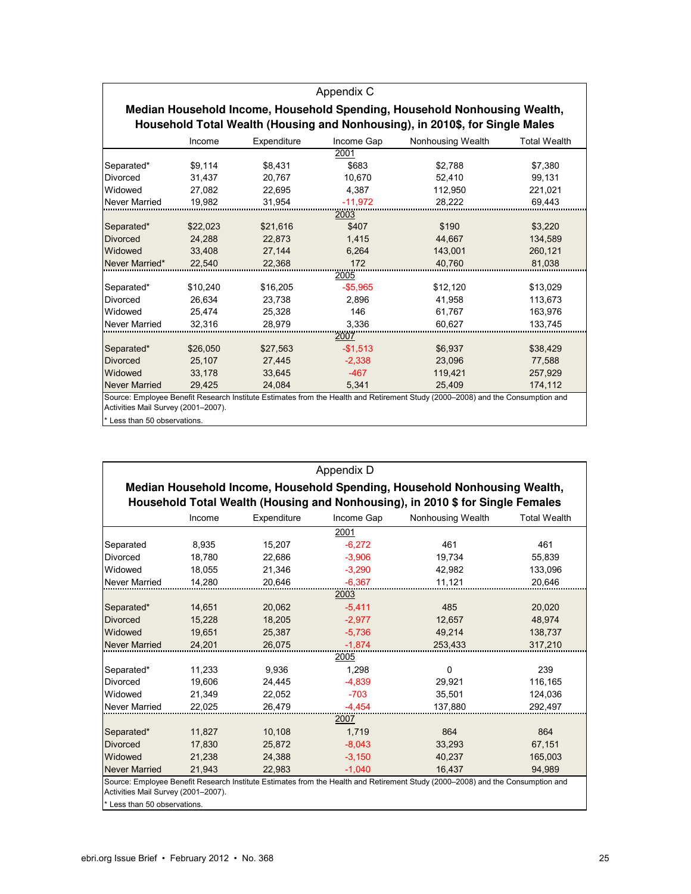|                                     |          |             | Appendix C |                                                                                                                                |                     |
|-------------------------------------|----------|-------------|------------|--------------------------------------------------------------------------------------------------------------------------------|---------------------|
|                                     |          |             |            | Median Household Income, Household Spending, Household Nonhousing Wealth,                                                      |                     |
|                                     |          |             |            | Household Total Wealth (Housing and Nonhousing), in 2010\$, for Single Males                                                   |                     |
|                                     | Income   | Expenditure | Income Gap | Nonhousing Wealth                                                                                                              | <b>Total Wealth</b> |
|                                     |          |             | 2001       |                                                                                                                                |                     |
| Separated*                          | \$9,114  | \$8.431     | \$683      | \$2.788                                                                                                                        | \$7,380             |
| Divorced                            | 31.437   | 20.767      | 10.670     | 52.410                                                                                                                         | 99.131              |
| Widowed                             | 27.082   | 22.695      | 4.387      | 112.950                                                                                                                        | 221.021             |
| <b>Never Married</b>                | 19.982   | 31.954      | $-11.972$  | 28,222                                                                                                                         | 69.443              |
|                                     |          |             | 2003       |                                                                                                                                |                     |
| Separated*                          | \$22,023 | \$21.616    | \$407      | \$190                                                                                                                          | \$3,220             |
| <b>Divorced</b>                     | 24.288   | 22.873      | 1.415      | 44.667                                                                                                                         | 134.589             |
| Widowed                             | 33.408   | 27,144      | 6.264      | 143,001                                                                                                                        | 260,121             |
| Never Married*                      | 22.540   | 22.368      | 172        | 40.760                                                                                                                         | 81.038              |
|                                     |          |             | 2005       |                                                                                                                                |                     |
| Separated*                          | \$10.240 | \$16,205    | $-$5.965$  | \$12,120                                                                                                                       | \$13,029            |
| Divorced                            | 26.634   | 23.738      | 2.896      | 41.958                                                                                                                         | 113.673             |
| Widowed                             | 25.474   | 25,328      | 146        | 61.767                                                                                                                         | 163,976             |
| Never Married                       | 32.316   | 28.979      | 3.336      | 60,627                                                                                                                         | 133.745             |
|                                     |          |             | 2007       |                                                                                                                                |                     |
| Separated*                          | \$26,050 | \$27,563    | $-$1.513$  | \$6.937                                                                                                                        | \$38,429            |
| <b>Divorced</b>                     | 25,107   | 27,445      | $-2,338$   | 23,096                                                                                                                         | 77,588              |
| Widowed                             | 33.178   | 33.645      | $-467$     | 119.421                                                                                                                        | 257.929             |
| <b>Never Married</b>                | 29.425   | 24.084      | 5,341      | 25.409                                                                                                                         | 174.112             |
|                                     |          |             |            | Source: Employee Benefit Research Institute Estimates from the Health and Retirement Study (2000-2008) and the Consumption and |                     |
| Activities Mail Survey (2001-2007). |          |             |            |                                                                                                                                |                     |
| * Less than 50 observations.        |          |             |            |                                                                                                                                |                     |

|                                                                     |        |             | Appendix D |                                                                                                                                |                     |
|---------------------------------------------------------------------|--------|-------------|------------|--------------------------------------------------------------------------------------------------------------------------------|---------------------|
|                                                                     |        |             |            | Median Household Income, Household Spending, Household Nonhousing Wealth,                                                      |                     |
|                                                                     |        |             |            | Household Total Wealth (Housing and Nonhousing), in 2010 \$ for Single Females                                                 |                     |
|                                                                     | Income | Expenditure | Income Gap | Nonhousing Wealth                                                                                                              | <b>Total Wealth</b> |
|                                                                     |        |             | 2001       |                                                                                                                                |                     |
| Separated                                                           | 8,935  | 15,207      | $-6,272$   | 461                                                                                                                            | 461                 |
| Divorced                                                            | 18,780 | 22,686      | $-3,906$   | 19,734                                                                                                                         | 55,839              |
| Widowed                                                             | 18.055 | 21.346      | $-3.290$   | 42.982                                                                                                                         | 133.096             |
| Never Married                                                       | 14,280 | 20,646      | $-6,367$   | 11,121                                                                                                                         | 20,646              |
|                                                                     |        |             | 2003       |                                                                                                                                |                     |
| Separated*                                                          | 14,651 | 20,062      | $-5.411$   | 485                                                                                                                            | 20,020              |
| <b>Divorced</b>                                                     | 15,228 | 18,205      | $-2,977$   | 12,657                                                                                                                         | 48,974              |
| Widowed                                                             | 19.651 | 25.387      | $-5.736$   | 49.214                                                                                                                         | 138.737             |
| <b>Never Married</b>                                                | 24.201 | 26.075      | $-1.874$   | 253.433                                                                                                                        | 317.210             |
|                                                                     |        |             | 2005       |                                                                                                                                |                     |
| Separated*                                                          | 11,233 | 9.936       | 1.298      | $\Omega$                                                                                                                       | 239                 |
| Divorced                                                            | 19,606 | 24,445      | $-4,839$   | 29,921                                                                                                                         | 116,165             |
| Widowed                                                             | 21,349 | 22,052      | $-703$     | 35,501                                                                                                                         | 124,036             |
| Never Married                                                       | 22.025 | 26,479      | $-4,454$   | 137.880                                                                                                                        | 292,497             |
|                                                                     |        |             | 2007       |                                                                                                                                |                     |
| Separated*                                                          | 11,827 | 10,108      | 1,719      | 864                                                                                                                            | 864                 |
| <b>Divorced</b>                                                     | 17.830 | 25,872      | $-8.043$   | 33,293                                                                                                                         | 67.151              |
| Widowed                                                             | 21,238 | 24,388      | $-3,150$   | 40,237                                                                                                                         | 165,003             |
| <b>Never Married</b>                                                | 21.943 | 22.983      | $-1.040$   | 16.437                                                                                                                         | 94.989              |
| Activities Mail Survey (2001-2007).<br>* Less than 50 observations. |        |             |            | Source: Employee Benefit Research Institute Estimates from the Health and Retirement Study (2000-2008) and the Consumption and |                     |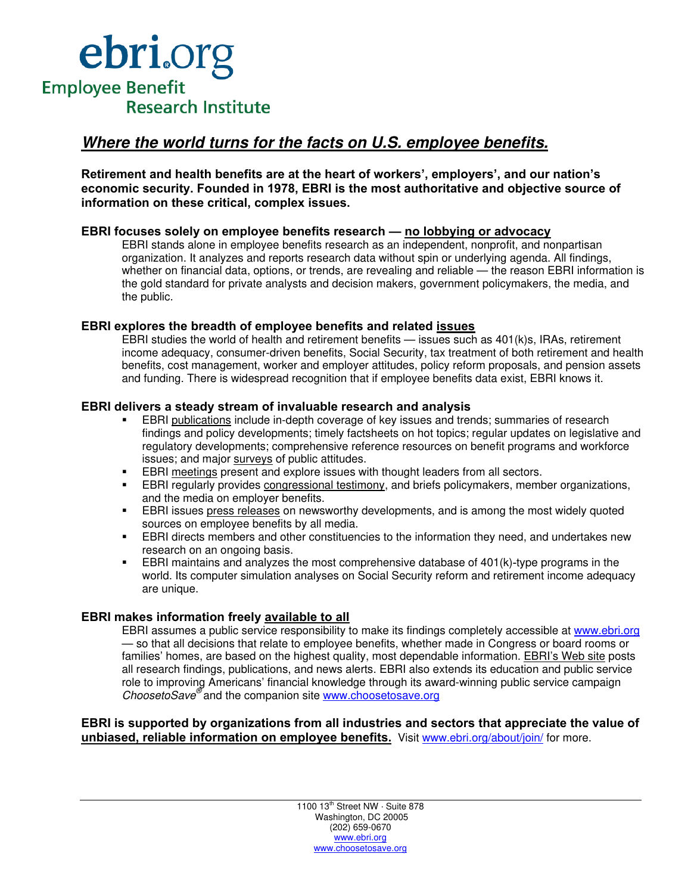

### **Where the world turns for the facts on U.S. employee benefits.**

**Retirement and health benefits are at the heart of workers', employers', and our nation's economic security. Founded in 1978, EBRI is the most authoritative and objective source of information on these critical, complex issues.** 

#### **EBRI focuses solely on employee benefits research — no lobbying or advocacy**

EBRI stands alone in employee benefits research as an independent, nonprofit, and nonpartisan organization. It analyzes and reports research data without spin or underlying agenda. All findings, whether on financial data, options, or trends, are revealing and reliable — the reason EBRI information is the gold standard for private analysts and decision makers, government policymakers, the media, and the public.

#### **EBRI explores the breadth of employee benefits and related issues**

EBRI studies the world of health and retirement benefits — issues such as 401(k)s, IRAs, retirement income adequacy, consumer-driven benefits, Social Security, tax treatment of both retirement and health benefits, cost management, worker and employer attitudes, policy reform proposals, and pension assets and funding. There is widespread recognition that if employee benefits data exist, EBRI knows it.

#### **EBRI delivers a steady stream of invaluable research and analysis**

- EBRI publications include in-depth coverage of key issues and trends; summaries of research findings and policy developments; timely factsheets on hot topics; regular updates on legislative and regulatory developments; comprehensive reference resources on benefit programs and workforce issues; and major surveys of public attitudes.
- **EBRI meetings present and explore issues with thought leaders from all sectors.**
- EBRI regularly provides congressional testimony, and briefs policymakers, member organizations, and the media on employer benefits.
- EBRI issues press releases on newsworthy developments, and is among the most widely quoted sources on employee benefits by all media.
- EBRI directs members and other constituencies to the information they need, and undertakes new research on an ongoing basis.
- EBRI maintains and analyzes the most comprehensive database of 401(k)-type programs in the world. Its computer simulation analyses on Social Security reform and retirement income adequacy are unique.

#### **EBRI makes information freely available to all**

EBRI assumes a public service responsibility to make its findings completely accessible at www.ebri.org — so that all decisions that relate to employee benefits, whether made in Congress or board rooms or families' homes, are based on the highest quality, most dependable information. EBRI's Web site posts all research findings, publications, and news alerts. EBRI also extends its education and public service role to improving Americans' financial knowledge through its award-winning public service campaign ChoosetoSave<sup>®</sup> and the companion site www.choosetosave.org

#### **EBRI is supported by organizations from all industries and sectors that appreciate the value of unbiased, reliable information on employee benefits.** Visit www.ebri.org/about/join/ for more.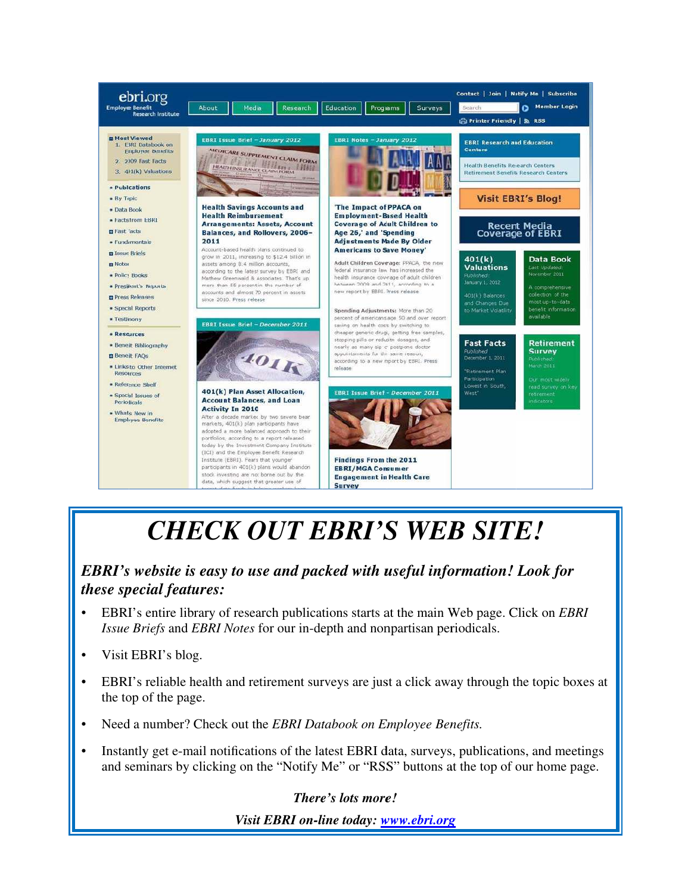

# *CHE ECK O OUT E EBRI'S S WEB B SITE*

# *EBRI's website is easy to use and packed with useful information! Look for these special features: g gTHE!*<br>*g*<br>*Web page. Click of<br>riodicals.<br><i>g*<br>*nefits.*<br>*g*<br>*g*

- EBRI's entire library of research publications starts at the main Web page. Click on *EBRI* Issue Briefs and EBRI Notes for our in-depth and nonpartisan periodicals.
- Visit EBRI's blog.
- EBRI's reliable health and retirement surveys are just a click away through the topic boxes at the top of the page.
- Need a number? Check out the *EBRI Databook on Employee Benefits*.
- Instantly get e-mail notifications of the latest EBRI data, surveys, publications, and meetings and seminars by clicking on the "Notify Me" or "RSS" buttons at the top of our home page.

*There's lots more!* 

*Visit EBRI on-line today: www.ebri.org*